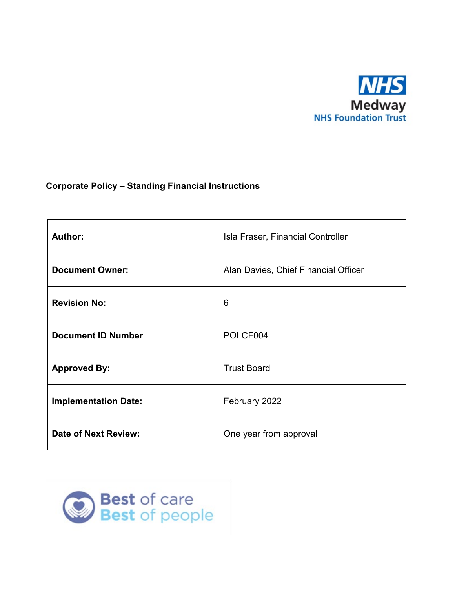

| <b>Author:</b>              | Isla Fraser, Financial Controller    |
|-----------------------------|--------------------------------------|
| <b>Document Owner:</b>      | Alan Davies, Chief Financial Officer |
| <b>Revision No:</b>         | 6                                    |
| <b>Document ID Number</b>   | POLCF004                             |
| <b>Approved By:</b>         | <b>Trust Board</b>                   |
| <b>Implementation Date:</b> | February 2022                        |
| <b>Date of Next Review:</b> | One year from approval               |

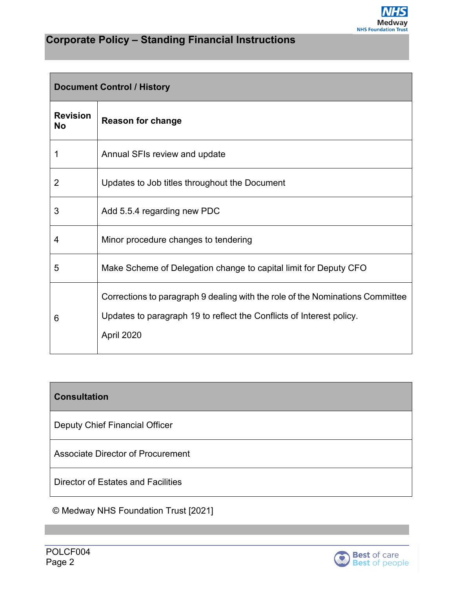

| <b>Document Control / History</b> |                                                                                                                                                                     |  |  |  |
|-----------------------------------|---------------------------------------------------------------------------------------------------------------------------------------------------------------------|--|--|--|
| <b>Revision</b><br><b>No</b>      | <b>Reason for change</b>                                                                                                                                            |  |  |  |
|                                   | Annual SFIs review and update                                                                                                                                       |  |  |  |
| 2                                 | Updates to Job titles throughout the Document                                                                                                                       |  |  |  |
| 3                                 | Add 5.5.4 regarding new PDC                                                                                                                                         |  |  |  |
| 4                                 | Minor procedure changes to tendering                                                                                                                                |  |  |  |
| 5                                 | Make Scheme of Delegation change to capital limit for Deputy CFO                                                                                                    |  |  |  |
| 6                                 | Corrections to paragraph 9 dealing with the role of the Nominations Committee<br>Updates to paragraph 19 to reflect the Conflicts of Interest policy.<br>April 2020 |  |  |  |

Deputy Chief Financial Officer

Associate Director of Procurement

Director of Estates and Facilities

© Medway NHS Foundation Trust [2021]

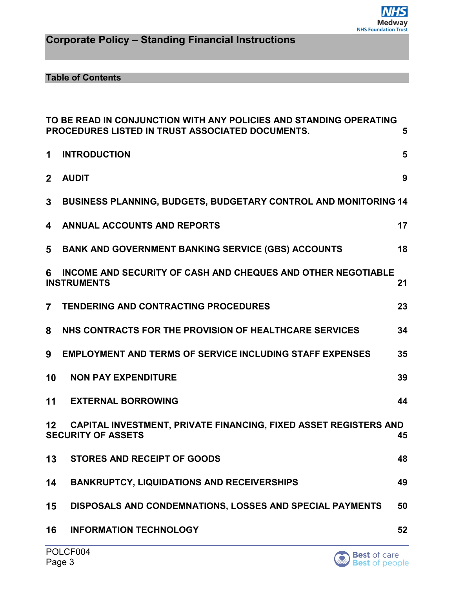### **Table of Contents**

|                | TO BE READ IN CONJUNCTION WITH ANY POLICIES AND STANDING OPERATING<br><b>PROCEDURES LISTED IN TRUST ASSOCIATED DOCUMENTS.</b> | 5  |
|----------------|-------------------------------------------------------------------------------------------------------------------------------|----|
| 1              | <b>INTRODUCTION</b>                                                                                                           | 5  |
| $\mathbf{2}$   | <b>AUDIT</b>                                                                                                                  | 9  |
| 3 <sup>1</sup> | <b>BUSINESS PLANNING, BUDGETS, BUDGETARY CONTROL AND MONITORING 14</b>                                                        |    |
| 4              | ANNUAL ACCOUNTS AND REPORTS                                                                                                   | 17 |
| 5              | <b>BANK AND GOVERNMENT BANKING SERVICE (GBS) ACCOUNTS</b>                                                                     | 18 |
| 6              | <b>INCOME AND SECURITY OF CASH AND CHEQUES AND OTHER NEGOTIABLE</b><br><b>INSTRUMENTS</b>                                     | 21 |
| $\overline{7}$ | <b>TENDERING AND CONTRACTING PROCEDURES</b>                                                                                   | 23 |
| 8              | NHS CONTRACTS FOR THE PROVISION OF HEALTHCARE SERVICES                                                                        | 34 |
| 9              | <b>EMPLOYMENT AND TERMS OF SERVICE INCLUDING STAFF EXPENSES</b>                                                               | 35 |
| 10             | <b>NON PAY EXPENDITURE</b>                                                                                                    | 39 |
| 11             | <b>EXTERNAL BORROWING</b>                                                                                                     | 44 |
| 12             | CAPITAL INVESTMENT, PRIVATE FINANCING, FIXED ASSET REGISTERS AND<br><b>SECURITY OF ASSETS</b>                                 | 45 |
| 13             | <b>STORES AND RECEIPT OF GOODS</b>                                                                                            | 48 |
| 14             | <b>BANKRUPTCY, LIQUIDATIONS AND RECEIVERSHIPS</b>                                                                             | 49 |
| 15             | DISPOSALS AND CONDEMNATIONS, LOSSES AND SPECIAL PAYMENTS                                                                      | 50 |
| 16             | <b>INFORMATION TECHNOLOGY</b>                                                                                                 | 52 |

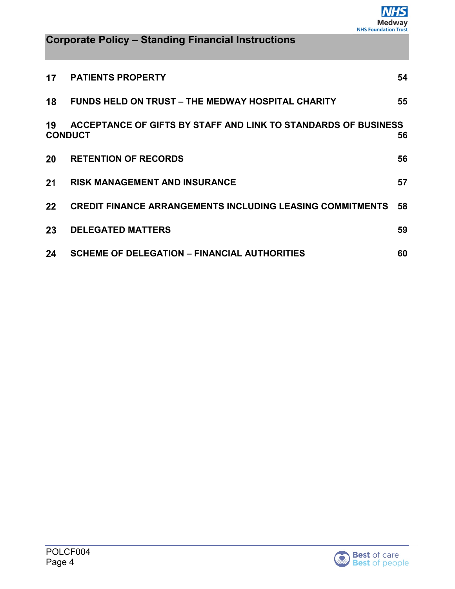| 17 | <b>PATIENTS PROPERTY</b>                                                         | 54 |
|----|----------------------------------------------------------------------------------|----|
| 18 | FUNDS HELD ON TRUST - THE MEDWAY HOSPITAL CHARITY                                | 55 |
| 19 | ACCEPTANCE OF GIFTS BY STAFF AND LINK TO STANDARDS OF BUSINESS<br><b>CONDUCT</b> | 56 |
| 20 | <b>RETENTION OF RECORDS</b>                                                      | 56 |
| 21 | <b>RISK MANAGEMENT AND INSURANCE</b>                                             | 57 |
| 22 | <b>CREDIT FINANCE ARRANGEMENTS INCLUDING LEASING COMMITMENTS</b>                 | 58 |
| 23 | <b>DELEGATED MATTERS</b>                                                         | 59 |
| 24 | <b>SCHEME OF DELEGATION - FINANCIAL AUTHORITIES</b>                              | 60 |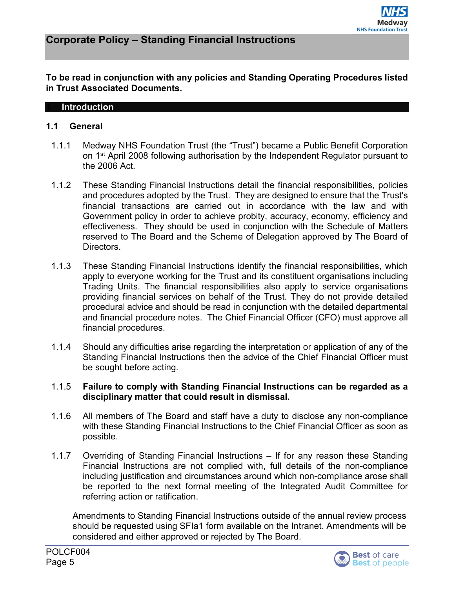<span id="page-4-0"></span>**To be read in conjunction with any policies and Standing Operating Procedures listed in Trust Associated Documents.**

#### <span id="page-4-1"></span>**Introduction**

#### **1.1 General**

- 1.1.1 Medway NHS Foundation Trust (the "Trust") became a Public Benefit Corporation on 1<sup>st</sup> April 2008 following authorisation by the Independent Regulator pursuant to the 2006 Act.
- 1.1.2 These Standing Financial Instructions detail the financial responsibilities, policies and procedures adopted by the Trust. They are designed to ensure that the Trust's financial transactions are carried out in accordance with the law and with Government policy in order to achieve probity, accuracy, economy, efficiency and effectiveness. They should be used in conjunction with the Schedule of Matters reserved to The Board and the Scheme of Delegation approved by The Board of Directors.
- 1.1.3 These Standing Financial Instructions identify the financial responsibilities, which apply to everyone working for the Trust and its constituent organisations including Trading Units. The financial responsibilities also apply to service organisations providing financial services on behalf of the Trust. They do not provide detailed procedural advice and should be read in conjunction with the detailed departmental and financial procedure notes. The Chief Financial Officer (CFO) must approve all financial procedures.
- 1.1.4 Should any difficulties arise regarding the interpretation or application of any of the Standing Financial Instructions then the advice of the Chief Financial Officer must be sought before acting.

#### 1.1.5 **Failure to comply with Standing Financial Instructions can be regarded as a disciplinary matter that could result in dismissal.**

- 1.1.6 All members of The Board and staff have a duty to disclose any non-compliance with these Standing Financial Instructions to the Chief Financial Officer as soon as possible.
- 1.1.7 Overriding of Standing Financial Instructions If for any reason these Standing Financial Instructions are not complied with, full details of the non-compliance including justification and circumstances around which non-compliance arose shall be reported to the next formal meeting of the Integrated Audit Committee for referring action or ratification.

Amendments to Standing Financial Instructions outside of the annual review process should be requested using SFIa1 form available on the Intranet. Amendments will be considered and either approved or rejected by The Board.

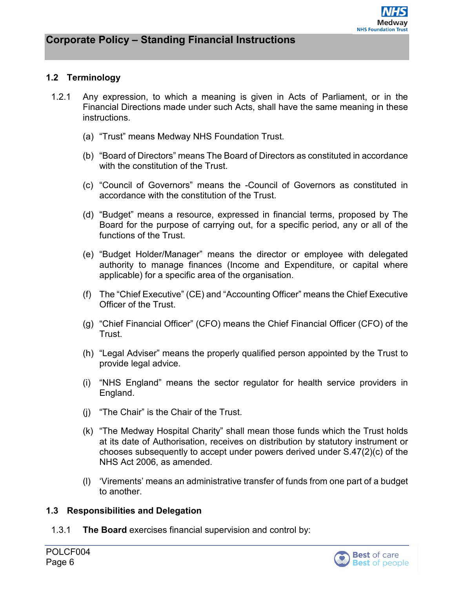### **1.2 Terminology**

- 1.2.1 Any expression, to which a meaning is given in Acts of Parliament, or in the Financial Directions made under such Acts, shall have the same meaning in these instructions.
	- (a) "Trust" means Medway NHS Foundation Trust.
	- (b) "Board of Directors" means The Board of Directors as constituted in accordance with the constitution of the Trust.
	- (c) "Council of Governors" means the -Council of Governors as constituted in accordance with the constitution of the Trust.
	- (d) "Budget" means a resource, expressed in financial terms, proposed by The Board for the purpose of carrying out, for a specific period, any or all of the functions of the Trust.
	- (e) "Budget Holder/Manager" means the director or employee with delegated authority to manage finances (Income and Expenditure, or capital where applicable) for a specific area of the organisation.
	- (f) The "Chief Executive" (CE) and "Accounting Officer" means the Chief Executive Officer of the Trust.
	- (g) "Chief Financial Officer" (CFO) means the Chief Financial Officer (CFO) of the Trust.
	- (h) "Legal Adviser" means the properly qualified person appointed by the Trust to provide legal advice.
	- (i) "NHS England" means the sector regulator for health service providers in England.
	- (j) "The Chair" is the Chair of the Trust.
	- (k) "The Medway Hospital Charity" shall mean those funds which the Trust holds at its date of Authorisation, receives on distribution by statutory instrument or chooses subsequently to accept under powers derived under S.47(2)(c) of the NHS Act 2006, as amended.
	- (l) 'Virements' means an administrative transfer of funds from one part of a budget to another.

### **1.3 Responsibilities and Delegation**

1.3.1 **The Board** exercises financial supervision and control by:

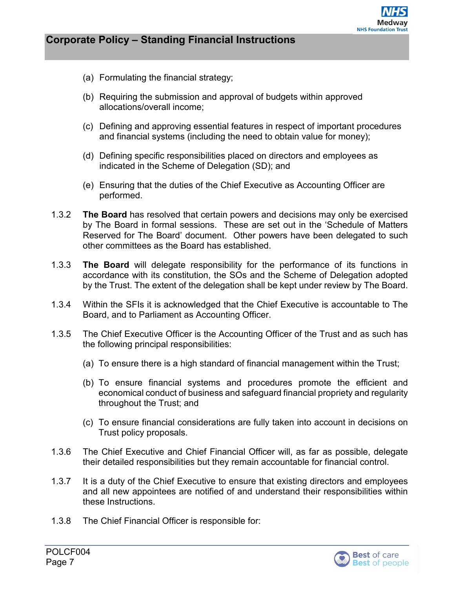- (a) Formulating the financial strategy;
- (b) Requiring the submission and approval of budgets within approved allocations/overall income;
- (c) Defining and approving essential features in respect of important procedures and financial systems (including the need to obtain value for money);
- (d) Defining specific responsibilities placed on directors and employees as indicated in the Scheme of Delegation (SD); and
- (e) Ensuring that the duties of the Chief Executive as Accounting Officer are performed.
- 1.3.2 **The Board** has resolved that certain powers and decisions may only be exercised by The Board in formal sessions. These are set out in the 'Schedule of Matters Reserved for The Board' document. Other powers have been delegated to such other committees as the Board has established.
- 1.3.3 **The Board** will delegate responsibility for the performance of its functions in accordance with its constitution, the SOs and the Scheme of Delegation adopted by the Trust. The extent of the delegation shall be kept under review by The Board.
- 1.3.4 Within the SFIs it is acknowledged that the Chief Executive is accountable to The Board, and to Parliament as Accounting Officer.
- 1.3.5 The Chief Executive Officer is the Accounting Officer of the Trust and as such has the following principal responsibilities:
	- (a) To ensure there is a high standard of financial management within the Trust;
	- (b) To ensure financial systems and procedures promote the efficient and economical conduct of business and safeguard financial propriety and regularity throughout the Trust; and
	- (c) To ensure financial considerations are fully taken into account in decisions on Trust policy proposals.
- 1.3.6 The Chief Executive and Chief Financial Officer will, as far as possible, delegate their detailed responsibilities but they remain accountable for financial control.
- 1.3.7 It is a duty of the Chief Executive to ensure that existing directors and employees and all new appointees are notified of and understand their responsibilities within these Instructions.
- 1.3.8 The Chief Financial Officer is responsible for:

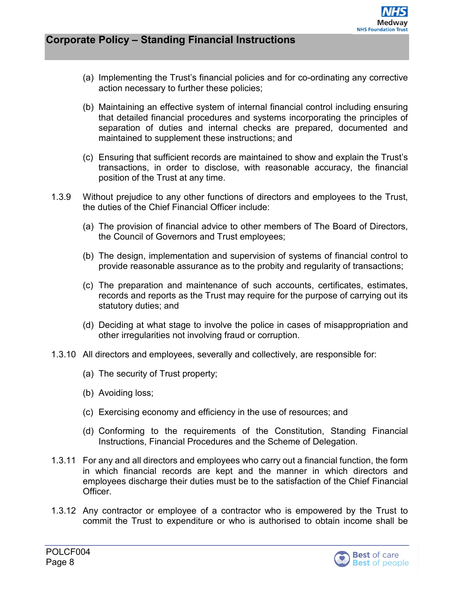- (a) Implementing the Trust's financial policies and for co-ordinating any corrective action necessary to further these policies;
- (b) Maintaining an effective system of internal financial control including ensuring that detailed financial procedures and systems incorporating the principles of separation of duties and internal checks are prepared, documented and maintained to supplement these instructions; and
- (c) Ensuring that sufficient records are maintained to show and explain the Trust's transactions, in order to disclose, with reasonable accuracy, the financial position of the Trust at any time.
- 1.3.9 Without prejudice to any other functions of directors and employees to the Trust, the duties of the Chief Financial Officer include:
	- (a) The provision of financial advice to other members of The Board of Directors, the Council of Governors and Trust employees;
	- (b) The design, implementation and supervision of systems of financial control to provide reasonable assurance as to the probity and regularity of transactions;
	- (c) The preparation and maintenance of such accounts, certificates, estimates, records and reports as the Trust may require for the purpose of carrying out its statutory duties; and
	- (d) Deciding at what stage to involve the police in cases of misappropriation and other irregularities not involving fraud or corruption.
- 1.3.10 All directors and employees, severally and collectively, are responsible for:
	- (a) The security of Trust property;
	- (b) Avoiding loss;
	- (c) Exercising economy and efficiency in the use of resources; and
	- (d) Conforming to the requirements of the Constitution, Standing Financial Instructions, Financial Procedures and the Scheme of Delegation.
- 1.3.11 For any and all directors and employees who carry out a financial function, the form in which financial records are kept and the manner in which directors and employees discharge their duties must be to the satisfaction of the Chief Financial Officer.
- 1.3.12 Any contractor or employee of a contractor who is empowered by the Trust to commit the Trust to expenditure or who is authorised to obtain income shall be

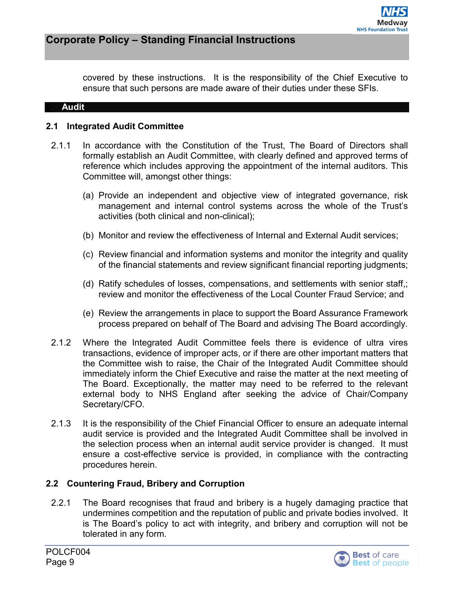covered by these instructions. It is the responsibility of the Chief Executive to ensure that such persons are made aware of their duties under these SFIs.

#### <span id="page-8-0"></span>**Audit**

#### **2.1 Integrated Audit Committee**

- 2.1.1 In accordance with the Constitution of the Trust, The Board of Directors shall formally establish an Audit Committee, with clearly defined and approved terms of reference which includes approving the appointment of the internal auditors. This Committee will, amongst other things:
	- (a) Provide an independent and objective view of integrated governance, risk management and internal control systems across the whole of the Trust's activities (both clinical and non-clinical);
	- (b) Monitor and review the effectiveness of Internal and External Audit services;
	- (c) Review financial and information systems and monitor the integrity and quality of the financial statements and review significant financial reporting judgments;
	- (d) Ratify schedules of losses, compensations, and settlements with senior staff,; review and monitor the effectiveness of the Local Counter Fraud Service; and
	- (e) Review the arrangements in place to support the Board Assurance Framework process prepared on behalf of The Board and advising The Board accordingly.
- 2.1.2 Where the Integrated Audit Committee feels there is evidence of ultra vires transactions, evidence of improper acts, or if there are other important matters that the Committee wish to raise, the Chair of the Integrated Audit Committee should immediately inform the Chief Executive and raise the matter at the next meeting of The Board. Exceptionally, the matter may need to be referred to the relevant external body to NHS England after seeking the advice of Chair/Company Secretary/CFO.
- 2.1.3 It is the responsibility of the Chief Financial Officer to ensure an adequate internal audit service is provided and the Integrated Audit Committee shall be involved in the selection process when an internal audit service provider is changed. It must ensure a cost-effective service is provided, in compliance with the contracting procedures herein.

### **2.2 Countering Fraud, Bribery and Corruption**

2.2.1 The Board recognises that fraud and bribery is a hugely damaging practice that undermines competition and the reputation of public and private bodies involved. It is The Board's policy to act with integrity, and bribery and corruption will not be tolerated in any form.

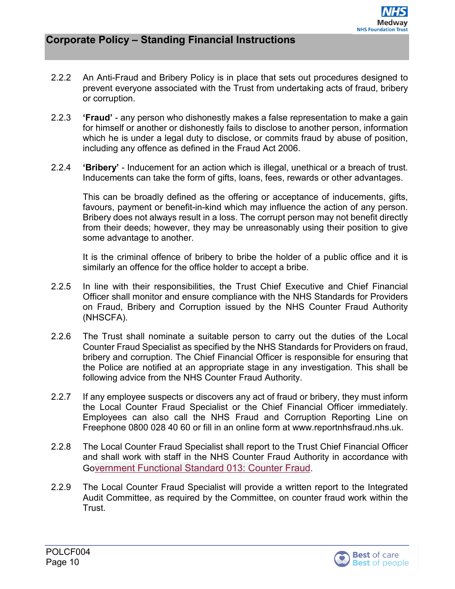- 2.2.2 An Anti-Fraud and Bribery Policy is in place that sets out procedures designed to prevent everyone associated with the Trust from undertaking acts of fraud, bribery or corruption.
- 2.2.3 **'Fraud'** any person who dishonestly makes a false representation to make a gain for himself or another or dishonestly fails to disclose to another person, information which he is under a legal duty to disclose, or commits fraud by abuse of position, including any offence as defined in the Fraud Act 2006.
- 2.2.4 **'Bribery'** Inducement for an action which is illegal, unethical or a breach of trust. Inducements can take the form of gifts, loans, fees, rewards or other advantages.

This can be broadly defined as the offering or acceptance of inducements, gifts, favours, payment or benefit-in-kind which may influence the action of any person. Bribery does not always result in a loss. The corrupt person may not benefit directly from their deeds; however, they may be unreasonably using their position to give some advantage to another.

It is the criminal offence of bribery to bribe the holder of a public office and it is similarly an offence for the office holder to accept a bribe.

- 2.2.5 In line with their responsibilities, the Trust Chief Executive and Chief Financial Officer shall monitor and ensure compliance with the NHS Standards for Providers on Fraud, Bribery and Corruption issued by the NHS Counter Fraud Authority (NHSCFA).
- 2.2.6 The Trust shall nominate a suitable person to carry out the duties of the Local Counter Fraud Specialist as specified by the NHS Standards for Providers on fraud, bribery and corruption. The Chief Financial Officer is responsible for ensuring that the Police are notified at an appropriate stage in any investigation. This shall be following advice from the NHS Counter Fraud Authority.
- 2.2.7 If any employee suspects or discovers any act of fraud or bribery, they must inform the Local Counter Fraud Specialist or the Chief Financial Officer immediately. Employees can also call the NHS Fraud and Corruption Reporting Line on Freephone 0800 028 40 60 or fill in an online form at www.reportnhsfraud.nhs.uk.
- 2.2.8 The Local Counter Fraud Specialist shall report to the Trust Chief Financial Officer and shall work with staff in the NHS Counter Fraud Authority in accordance with G[overnment Functional Standard 013: Counter Fraud.](https://www.gov.uk/government/publications/government-functional-standard-govs-013-counter-fraud)
- 2.2.9 The Local Counter Fraud Specialist will provide a written report to the Integrated Audit Committee, as required by the Committee, on counter fraud work within the Trust.

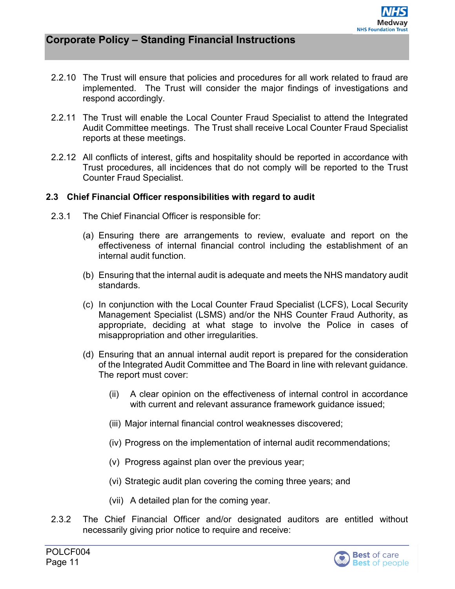- 2.2.10 The Trust will ensure that policies and procedures for all work related to fraud are implemented. The Trust will consider the major findings of investigations and respond accordingly.
- 2.2.11 The Trust will enable the Local Counter Fraud Specialist to attend the Integrated Audit Committee meetings. The Trust shall receive Local Counter Fraud Specialist reports at these meetings.
- 2.2.12 All conflicts of interest, gifts and hospitality should be reported in accordance with Trust procedures, all incidences that do not comply will be reported to the Trust Counter Fraud Specialist.

### **2.3 Chief Financial Officer responsibilities with regard to audit**

- 2.3.1 The Chief Financial Officer is responsible for:
	- (a) Ensuring there are arrangements to review, evaluate and report on the effectiveness of internal financial control including the establishment of an internal audit function.
	- (b) Ensuring that the internal audit is adequate and meets the NHS mandatory audit standards.
	- (c) In conjunction with the Local Counter Fraud Specialist (LCFS), Local Security Management Specialist (LSMS) and/or the NHS Counter Fraud Authority, as appropriate, deciding at what stage to involve the Police in cases of misappropriation and other irregularities.
	- (d) Ensuring that an annual internal audit report is prepared for the consideration of the Integrated Audit Committee and The Board in line with relevant guidance. The report must cover:
		- (ii) A clear opinion on the effectiveness of internal control in accordance with current and relevant assurance framework guidance issued;
		- (iii) Major internal financial control weaknesses discovered;
		- (iv) Progress on the implementation of internal audit recommendations;
		- (v) Progress against plan over the previous year;
		- (vi) Strategic audit plan covering the coming three years; and
		- (vii) A detailed plan for the coming year.
- 2.3.2 The Chief Financial Officer and/or designated auditors are entitled without necessarily giving prior notice to require and receive:

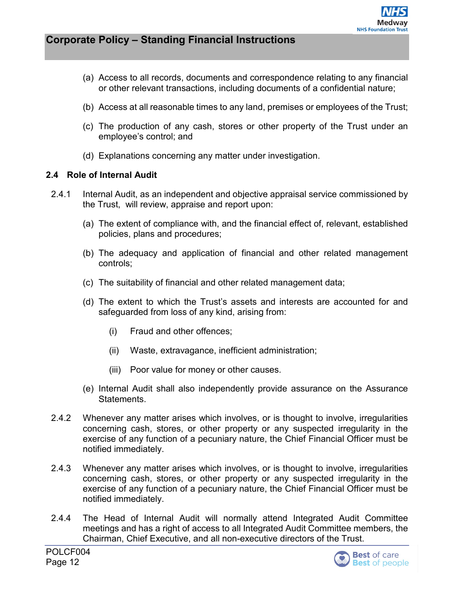- (a) Access to all records, documents and correspondence relating to any financial or other relevant transactions, including documents of a confidential nature;
- (b) Access at all reasonable times to any land, premises or employees of the Trust;
- (c) The production of any cash, stores or other property of the Trust under an employee's control; and
- (d) Explanations concerning any matter under investigation.

### **2.4 Role of Internal Audit**

- 2.4.1 Internal Audit, as an independent and objective appraisal service commissioned by the Trust, will review, appraise and report upon:
	- (a) The extent of compliance with, and the financial effect of, relevant, established policies, plans and procedures;
	- (b) The adequacy and application of financial and other related management controls;
	- (c) The suitability of financial and other related management data;
	- (d) The extent to which the Trust's assets and interests are accounted for and safeguarded from loss of any kind, arising from:
		- (i) Fraud and other offences;
		- (ii) Waste, extravagance, inefficient administration;
		- (iii) Poor value for money or other causes.
	- (e) Internal Audit shall also independently provide assurance on the Assurance Statements.
- 2.4.2 Whenever any matter arises which involves, or is thought to involve, irregularities concerning cash, stores, or other property or any suspected irregularity in the exercise of any function of a pecuniary nature, the Chief Financial Officer must be notified immediately.
- 2.4.3 Whenever any matter arises which involves, or is thought to involve, irregularities concerning cash, stores, or other property or any suspected irregularity in the exercise of any function of a pecuniary nature, the Chief Financial Officer must be notified immediately.
- 2.4.4 The Head of Internal Audit will normally attend Integrated Audit Committee meetings and has a right of access to all Integrated Audit Committee members, the Chairman, Chief Executive, and all non-executive directors of the Trust.

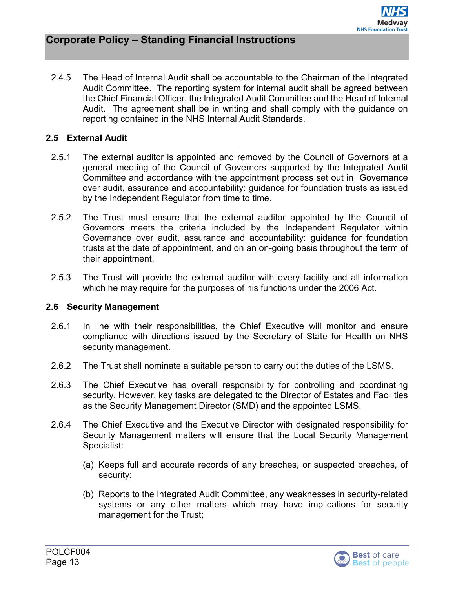2.4.5 The Head of Internal Audit shall be accountable to the Chairman of the Integrated Audit Committee. The reporting system for internal audit shall be agreed between the Chief Financial Officer, the Integrated Audit Committee and the Head of Internal Audit. The agreement shall be in writing and shall comply with the guidance on reporting contained in the NHS Internal Audit Standards.

### **2.5 External Audit**

- 2.5.1 The external auditor is appointed and removed by the Council of Governors at a general meeting of the Council of Governors supported by the Integrated Audit Committee and accordance with the appointment process set out in Governance over audit, assurance and accountability: guidance for foundation trusts as issued by the Independent Regulator from time to time.
- 2.5.2 The Trust must ensure that the external auditor appointed by the Council of Governors meets the criteria included by the Independent Regulator within Governance over audit, assurance and accountability: guidance for foundation trusts at the date of appointment, and on an on-going basis throughout the term of their appointment.
- 2.5.3 The Trust will provide the external auditor with every facility and all information which he may require for the purposes of his functions under the 2006 Act.

### **2.6 Security Management**

- 2.6.1 In line with their responsibilities, the Chief Executive will monitor and ensure compliance with directions issued by the Secretary of State for Health on NHS security management.
- 2.6.2 The Trust shall nominate a suitable person to carry out the duties of the LSMS.
- 2.6.3 The Chief Executive has overall responsibility for controlling and coordinating security. However, key tasks are delegated to the Director of Estates and Facilities as the Security Management Director (SMD) and the appointed LSMS.
- 2.6.4 The Chief Executive and the Executive Director with designated responsibility for Security Management matters will ensure that the Local Security Management Specialist:
	- (a) Keeps full and accurate records of any breaches, or suspected breaches, of security:
	- (b) Reports to the Integrated Audit Committee, any weaknesses in security-related systems or any other matters which may have implications for security management for the Trust;

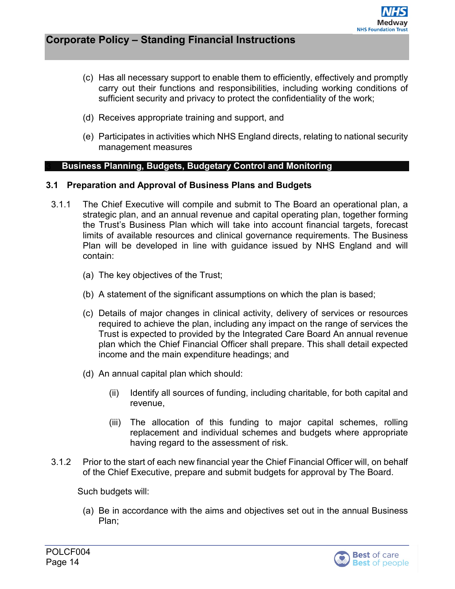- (c) Has all necessary support to enable them to efficiently, effectively and promptly carry out their functions and responsibilities, including working conditions of sufficient security and privacy to protect the confidentiality of the work;
- (d) Receives appropriate training and support, and
- (e) Participates in activities which NHS England directs, relating to national security management measures

#### <span id="page-13-0"></span>**Business Planning, Budgets, Budgetary Control and Monitoring**

#### **3.1 Preparation and Approval of Business Plans and Budgets**

- 3.1.1 The Chief Executive will compile and submit to The Board an operational plan, a strategic plan, and an annual revenue and capital operating plan, together forming the Trust's Business Plan which will take into account financial targets, forecast limits of available resources and clinical governance requirements. The Business Plan will be developed in line with guidance issued by NHS England and will contain:
	- (a) The key objectives of the Trust;
	- (b) A statement of the significant assumptions on which the plan is based;
	- (c) Details of major changes in clinical activity, delivery of services or resources required to achieve the plan, including any impact on the range of services the Trust is expected to provided by the Integrated Care Board An annual revenue plan which the Chief Financial Officer shall prepare. This shall detail expected income and the main expenditure headings; and
	- (d) An annual capital plan which should:
		- (ii) Identify all sources of funding, including charitable, for both capital and revenue,
		- (iii) The allocation of this funding to major capital schemes, rolling replacement and individual schemes and budgets where appropriate having regard to the assessment of risk.
- 3.1.2 Prior to the start of each new financial year the Chief Financial Officer will, on behalf of the Chief Executive, prepare and submit budgets for approval by The Board.

Such budgets will:

(a) Be in accordance with the aims and objectives set out in the annual Business Plan;

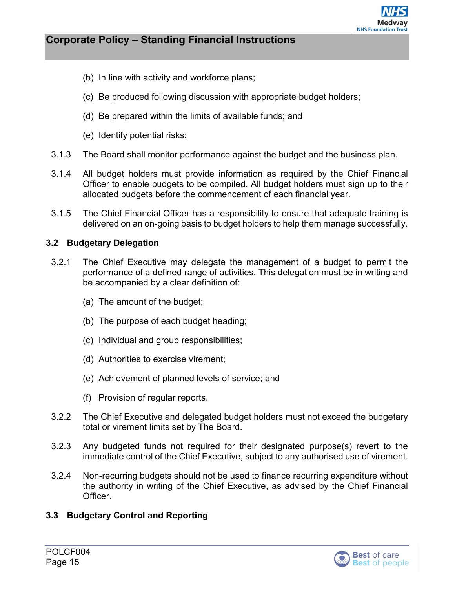- (b) In line with activity and workforce plans;
- (c) Be produced following discussion with appropriate budget holders;
- (d) Be prepared within the limits of available funds; and
- (e) Identify potential risks;
- 3.1.3 The Board shall monitor performance against the budget and the business plan.
- 3.1.4 All budget holders must provide information as required by the Chief Financial Officer to enable budgets to be compiled. All budget holders must sign up to their allocated budgets before the commencement of each financial year.
- 3.1.5 The Chief Financial Officer has a responsibility to ensure that adequate training is delivered on an on-going basis to budget holders to help them manage successfully.

### **3.2 Budgetary Delegation**

- 3.2.1 The Chief Executive may delegate the management of a budget to permit the performance of a defined range of activities. This delegation must be in writing and be accompanied by a clear definition of:
	- (a) The amount of the budget;
	- (b) The purpose of each budget heading;
	- (c) Individual and group responsibilities;
	- (d) Authorities to exercise virement;
	- (e) Achievement of planned levels of service; and
	- (f) Provision of regular reports.
- 3.2.2 The Chief Executive and delegated budget holders must not exceed the budgetary total or virement limits set by The Board.
- 3.2.3 Any budgeted funds not required for their designated purpose(s) revert to the immediate control of the Chief Executive, subject to any authorised use of virement.
- 3.2.4 Non-recurring budgets should not be used to finance recurring expenditure without the authority in writing of the Chief Executive, as advised by the Chief Financial **Officer**

### **3.3 Budgetary Control and Reporting**

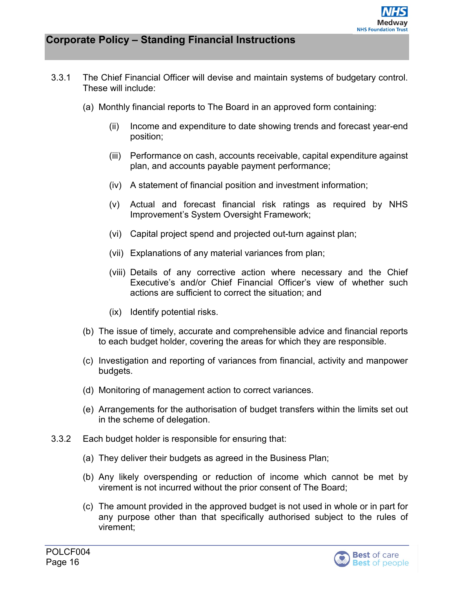- 3.3.1 The Chief Financial Officer will devise and maintain systems of budgetary control. These will include:
	- (a) Monthly financial reports to The Board in an approved form containing:
		- (ii) Income and expenditure to date showing trends and forecast year-end position;
		- (iii) Performance on cash, accounts receivable, capital expenditure against plan, and accounts payable payment performance;
		- (iv) A statement of financial position and investment information;
		- (v) Actual and forecast financial risk ratings as required by NHS Improvement's System Oversight Framework;
		- (vi) Capital project spend and projected out-turn against plan;
		- (vii) Explanations of any material variances from plan;
		- (viii) Details of any corrective action where necessary and the Chief Executive's and/or Chief Financial Officer's view of whether such actions are sufficient to correct the situation; and
		- (ix) Identify potential risks.
	- (b) The issue of timely, accurate and comprehensible advice and financial reports to each budget holder, covering the areas for which they are responsible.
	- (c) Investigation and reporting of variances from financial, activity and manpower budgets.
	- (d) Monitoring of management action to correct variances.
	- (e) Arrangements for the authorisation of budget transfers within the limits set out in the scheme of delegation.
- 3.3.2 Each budget holder is responsible for ensuring that:
	- (a) They deliver their budgets as agreed in the Business Plan;
	- (b) Any likely overspending or reduction of income which cannot be met by virement is not incurred without the prior consent of The Board;
	- (c) The amount provided in the approved budget is not used in whole or in part for any purpose other than that specifically authorised subject to the rules of virement;

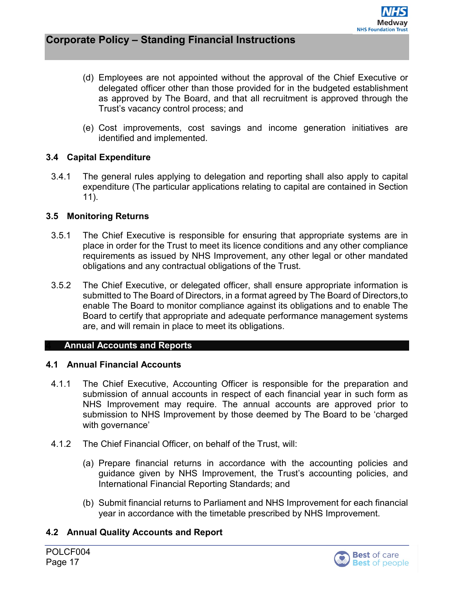- (d) Employees are not appointed without the approval of the Chief Executive or delegated officer other than those provided for in the budgeted establishment as approved by The Board, and that all recruitment is approved through the Trust's vacancy control process; and
- (e) Cost improvements, cost savings and income generation initiatives are identified and implemented.

### **3.4 Capital Expenditure**

3.4.1 The general rules applying to delegation and reporting shall also apply to capital expenditure (The particular applications relating to capital are contained in Section 11).

### **3.5 Monitoring Returns**

- 3.5.1 The Chief Executive is responsible for ensuring that appropriate systems are in place in order for the Trust to meet its licence conditions and any other compliance requirements as issued by NHS Improvement, any other legal or other mandated obligations and any contractual obligations of the Trust.
- 3.5.2 The Chief Executive, or delegated officer, shall ensure appropriate information is submitted to The Board of Directors, in a format agreed by The Board of Directors,to enable The Board to monitor compliance against its obligations and to enable The Board to certify that appropriate and adequate performance management systems are, and will remain in place to meet its obligations.

### <span id="page-16-0"></span>**Annual Accounts and Reports**

### **4.1 Annual Financial Accounts**

- 4.1.1 The Chief Executive, Accounting Officer is responsible for the preparation and submission of annual accounts in respect of each financial year in such form as NHS Improvement may require. The annual accounts are approved prior to submission to NHS Improvement by those deemed by The Board to be 'charged with governance'
- 4.1.2 The Chief Financial Officer, on behalf of the Trust, will:
	- (a) Prepare financial returns in accordance with the accounting policies and guidance given by NHS Improvement, the Trust's accounting policies, and International Financial Reporting Standards; and
	- (b) Submit financial returns to Parliament and NHS Improvement for each financial year in accordance with the timetable prescribed by NHS Improvement.

### **4.2 Annual Quality Accounts and Report**

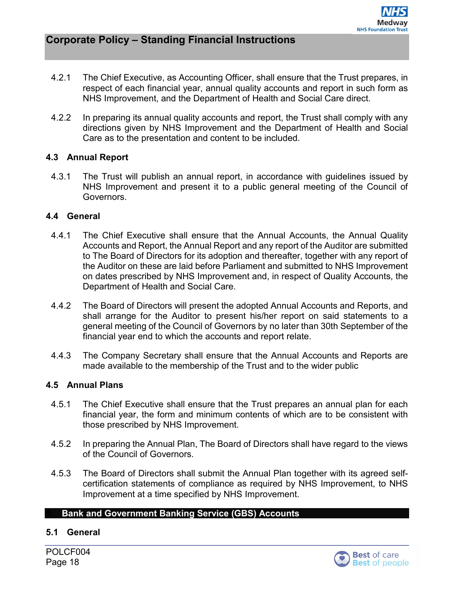- 4.2.1 The Chief Executive, as Accounting Officer, shall ensure that the Trust prepares, in respect of each financial year, annual quality accounts and report in such form as NHS Improvement, and the Department of Health and Social Care direct.
- 4.2.2 In preparing its annual quality accounts and report, the Trust shall comply with any directions given by NHS Improvement and the Department of Health and Social Care as to the presentation and content to be included.

### **4.3 Annual Report**

4.3.1 The Trust will publish an annual report, in accordance with guidelines issued by NHS Improvement and present it to a public general meeting of the Council of Governors.

### **4.4 General**

- 4.4.1 The Chief Executive shall ensure that the Annual Accounts, the Annual Quality Accounts and Report, the Annual Report and any report of the Auditor are submitted to The Board of Directors for its adoption and thereafter, together with any report of the Auditor on these are laid before Parliament and submitted to NHS Improvement on dates prescribed by NHS Improvement and, in respect of Quality Accounts, the Department of Health and Social Care.
- 4.4.2 The Board of Directors will present the adopted Annual Accounts and Reports, and shall arrange for the Auditor to present his/her report on said statements to a general meeting of the Council of Governors by no later than 30th September of the financial year end to which the accounts and report relate.
- 4.4.3 The Company Secretary shall ensure that the Annual Accounts and Reports are made available to the membership of the Trust and to the wider public

### **4.5 Annual Plans**

- 4.5.1 The Chief Executive shall ensure that the Trust prepares an annual plan for each financial year, the form and minimum contents of which are to be consistent with those prescribed by NHS Improvement.
- 4.5.2 In preparing the Annual Plan, The Board of Directors shall have regard to the views of the Council of Governors.
- 4.5.3 The Board of Directors shall submit the Annual Plan together with its agreed selfcertification statements of compliance as required by NHS Improvement, to NHS Improvement at a time specified by NHS Improvement.

### <span id="page-17-0"></span>**Bank and Government Banking Service (GBS) Accounts**

### **5.1 General**

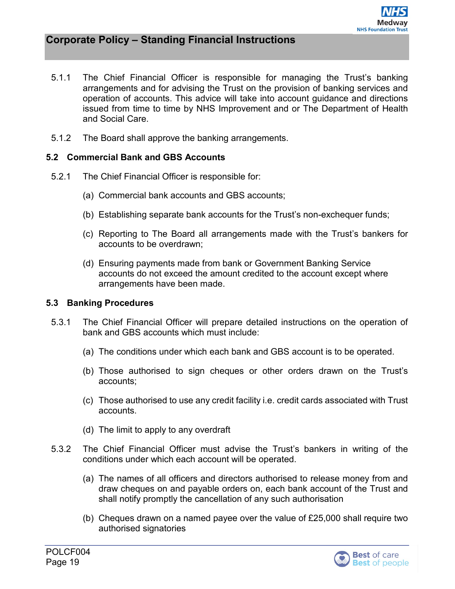- 5.1.1 The Chief Financial Officer is responsible for managing the Trust's banking arrangements and for advising the Trust on the provision of banking services and operation of accounts. This advice will take into account guidance and directions issued from time to time by NHS Improvement and or The Department of Health and Social Care.
- 5.1.2 The Board shall approve the banking arrangements.

### **5.2 Commercial Bank and GBS Accounts**

- 5.2.1 The Chief Financial Officer is responsible for:
	- (a) Commercial bank accounts and GBS accounts;
	- (b) Establishing separate bank accounts for the Trust's non-exchequer funds;
	- (c) Reporting to The Board all arrangements made with the Trust's bankers for accounts to be overdrawn;
	- (d) Ensuring payments made from bank or Government Banking Service accounts do not exceed the amount credited to the account except where arrangements have been made.

### **5.3 Banking Procedures**

- 5.3.1 The Chief Financial Officer will prepare detailed instructions on the operation of bank and GBS accounts which must include:
	- (a) The conditions under which each bank and GBS account is to be operated.
	- (b) Those authorised to sign cheques or other orders drawn on the Trust's accounts;
	- (c) Those authorised to use any credit facility i.e. credit cards associated with Trust accounts.
	- (d) The limit to apply to any overdraft
- 5.3.2 The Chief Financial Officer must advise the Trust's bankers in writing of the conditions under which each account will be operated.
	- (a) The names of all officers and directors authorised to release money from and draw cheques on and payable orders on, each bank account of the Trust and shall notify promptly the cancellation of any such authorisation
	- (b) Cheques drawn on a named payee over the value of £25,000 shall require two authorised signatories

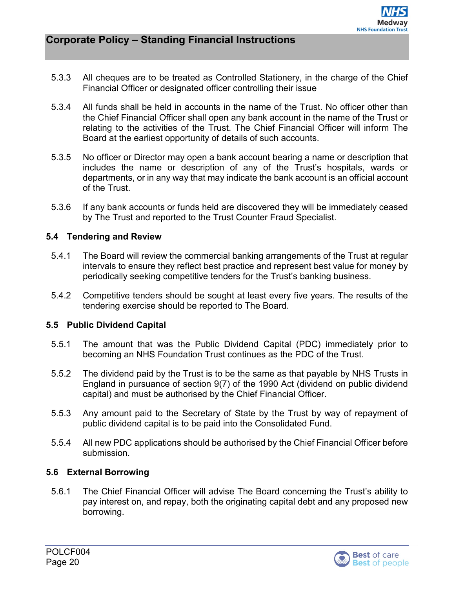- 5.3.3 All cheques are to be treated as Controlled Stationery, in the charge of the Chief Financial Officer or designated officer controlling their issue
- 5.3.4 All funds shall be held in accounts in the name of the Trust. No officer other than the Chief Financial Officer shall open any bank account in the name of the Trust or relating to the activities of the Trust. The Chief Financial Officer will inform The Board at the earliest opportunity of details of such accounts.
- 5.3.5 No officer or Director may open a bank account bearing a name or description that includes the name or description of any of the Trust's hospitals, wards or departments, or in any way that may indicate the bank account is an official account of the Trust.
- 5.3.6 If any bank accounts or funds held are discovered they will be immediately ceased by The Trust and reported to the Trust Counter Fraud Specialist.

### **5.4 Tendering and Review**

- 5.4.1 The Board will review the commercial banking arrangements of the Trust at regular intervals to ensure they reflect best practice and represent best value for money by periodically seeking competitive tenders for the Trust's banking business.
- 5.4.2 Competitive tenders should be sought at least every five years. The results of the tendering exercise should be reported to The Board.

### **5.5 Public Dividend Capital**

- 5.5.1 The amount that was the Public Dividend Capital (PDC) immediately prior to becoming an NHS Foundation Trust continues as the PDC of the Trust.
- 5.5.2 The dividend paid by the Trust is to be the same as that payable by NHS Trusts in England in pursuance of section 9(7) of the 1990 Act (dividend on public dividend capital) and must be authorised by the Chief Financial Officer.
- 5.5.3 Any amount paid to the Secretary of State by the Trust by way of repayment of public dividend capital is to be paid into the Consolidated Fund.
- 5.5.4 All new PDC applications should be authorised by the Chief Financial Officer before submission.

### **5.6 External Borrowing**

5.6.1 The Chief Financial Officer will advise The Board concerning the Trust's ability to pay interest on, and repay, both the originating capital debt and any proposed new borrowing.

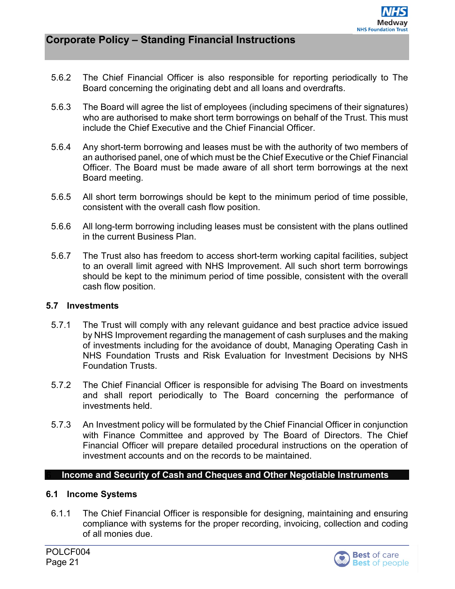- 5.6.2 The Chief Financial Officer is also responsible for reporting periodically to The Board concerning the originating debt and all loans and overdrafts.
- 5.6.3 The Board will agree the list of employees (including specimens of their signatures) who are authorised to make short term borrowings on behalf of the Trust. This must include the Chief Executive and the Chief Financial Officer.
- 5.6.4 Any short-term borrowing and leases must be with the authority of two members of an authorised panel, one of which must be the Chief Executive or the Chief Financial Officer. The Board must be made aware of all short term borrowings at the next Board meeting.
- 5.6.5 All short term borrowings should be kept to the minimum period of time possible, consistent with the overall cash flow position.
- 5.6.6 All long-term borrowing including leases must be consistent with the plans outlined in the current Business Plan.
- 5.6.7 The Trust also has freedom to access short-term working capital facilities, subject to an overall limit agreed with NHS Improvement. All such short term borrowings should be kept to the minimum period of time possible, consistent with the overall cash flow position.

### **5.7 Investments**

- 5.7.1 The Trust will comply with any relevant guidance and best practice advice issued by NHS Improvement regarding the management of cash surpluses and the making of investments including for the avoidance of doubt, Managing Operating Cash in NHS Foundation Trusts and Risk Evaluation for Investment Decisions by NHS Foundation Trusts.
- 5.7.2 The Chief Financial Officer is responsible for advising The Board on investments and shall report periodically to The Board concerning the performance of investments held.
- 5.7.3 An Investment policy will be formulated by the Chief Financial Officer in conjunction with Finance Committee and approved by The Board of Directors. The Chief Financial Officer will prepare detailed procedural instructions on the operation of investment accounts and on the records to be maintained.

### <span id="page-20-0"></span>**Income and Security of Cash and Cheques and Other Negotiable Instruments**

### **6.1 Income Systems**

6.1.1 The Chief Financial Officer is responsible for designing, maintaining and ensuring compliance with systems for the proper recording, invoicing, collection and coding of all monies due.

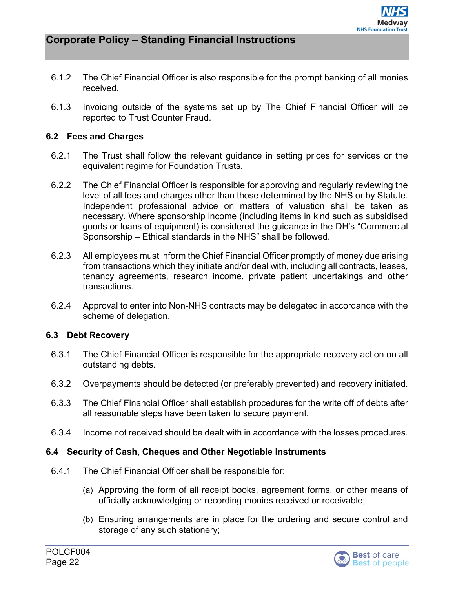- 6.1.2 The Chief Financial Officer is also responsible for the prompt banking of all monies received.
- 6.1.3 Invoicing outside of the systems set up by The Chief Financial Officer will be reported to Trust Counter Fraud.

### **6.2 Fees and Charges**

- 6.2.1 The Trust shall follow the relevant guidance in setting prices for services or the equivalent regime for Foundation Trusts.
- 6.2.2 The Chief Financial Officer is responsible for approving and regularly reviewing the level of all fees and charges other than those determined by the NHS or by Statute. Independent professional advice on matters of valuation shall be taken as necessary. Where sponsorship income (including items in kind such as subsidised goods or loans of equipment) is considered the guidance in the DH's "Commercial Sponsorship – Ethical standards in the NHS" shall be followed.
- 6.2.3 All employees must inform the Chief Financial Officer promptly of money due arising from transactions which they initiate and/or deal with, including all contracts, leases, tenancy agreements, research income, private patient undertakings and other transactions.
- 6.2.4 Approval to enter into Non-NHS contracts may be delegated in accordance with the scheme of delegation.

### **6.3 Debt Recovery**

- 6.3.1 The Chief Financial Officer is responsible for the appropriate recovery action on all outstanding debts.
- 6.3.2 Overpayments should be detected (or preferably prevented) and recovery initiated.
- 6.3.3 The Chief Financial Officer shall establish procedures for the write off of debts after all reasonable steps have been taken to secure payment.
- 6.3.4 Income not received should be dealt with in accordance with the losses procedures.

### **6.4 Security of Cash, Cheques and Other Negotiable Instruments**

- 6.4.1 The Chief Financial Officer shall be responsible for:
	- (a) Approving the form of all receipt books, agreement forms, or other means of officially acknowledging or recording monies received or receivable;
	- (b) Ensuring arrangements are in place for the ordering and secure control and storage of any such stationery;

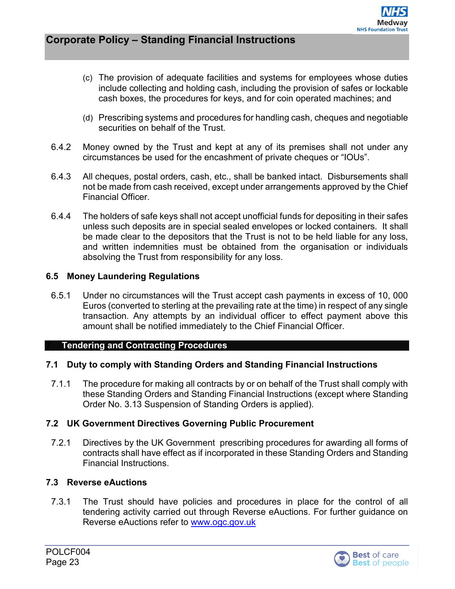- (c) The provision of adequate facilities and systems for employees whose duties include collecting and holding cash, including the provision of safes or lockable cash boxes, the procedures for keys, and for coin operated machines; and
- (d) Prescribing systems and procedures for handling cash, cheques and negotiable securities on behalf of the Trust.
- 6.4.2 Money owned by the Trust and kept at any of its premises shall not under any circumstances be used for the encashment of private cheques or "IOUs".
- 6.4.3 All cheques, postal orders, cash, etc., shall be banked intact. Disbursements shall not be made from cash received, except under arrangements approved by the Chief Financial Officer.
- 6.4.4 The holders of safe keys shall not accept unofficial funds for depositing in their safes unless such deposits are in special sealed envelopes or locked containers. It shall be made clear to the depositors that the Trust is not to be held liable for any loss, and written indemnities must be obtained from the organisation or individuals absolving the Trust from responsibility for any loss.

### **6.5 Money Laundering Regulations**

6.5.1 Under no circumstances will the Trust accept cash payments in excess of 10, 000 Euros (converted to sterling at the prevailing rate at the time) in respect of any single transaction. Any attempts by an individual officer to effect payment above this amount shall be notified immediately to the Chief Financial Officer.

### <span id="page-22-0"></span>**Tendering and Contracting Procedures**

### **7.1 Duty to comply with Standing Orders and Standing Financial Instructions**

7.1.1 The procedure for making all contracts by or on behalf of the Trust shall comply with these Standing Orders and Standing Financial Instructions (except where Standing Order No. 3.13 Suspension of Standing Orders is applied).

### **7.2 UK Government Directives Governing Public Procurement**

7.2.1 Directives by the UK Government prescribing procedures for awarding all forms of contracts shall have effect as if incorporated in these Standing Orders and Standing Financial Instructions.

### **7.3 Reverse eAuctions**

7.3.1 The Trust should have policies and procedures in place for the control of all tendering activity carried out through Reverse eAuctions. For further guidance on Reverse eAuctions refer to [www.ogc.gov.uk](http://www.ogc.gov.uk/)

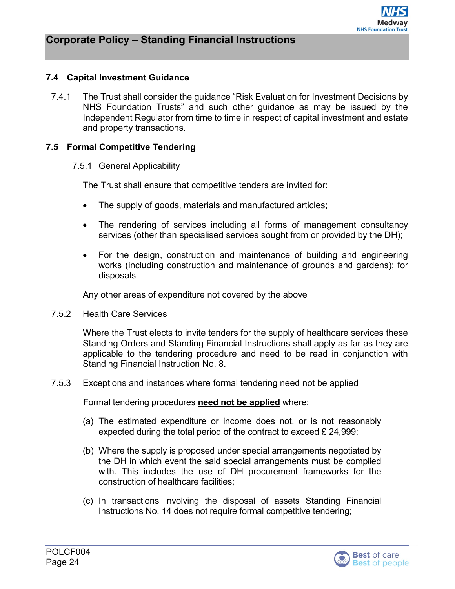#### **7.4 Capital Investment Guidance**

7.4.1 The Trust shall consider the guidance "Risk Evaluation for Investment Decisions by NHS Foundation Trusts" and such other guidance as may be issued by the Independent Regulator from time to time in respect of capital investment and estate and property transactions.

#### **7.5 Formal Competitive Tendering**

#### 7.5.1 General Applicability

The Trust shall ensure that competitive tenders are invited for:

- The supply of goods, materials and manufactured articles;
- The rendering of services including all forms of management consultancy services (other than specialised services sought from or provided by the DH);
- For the design, construction and maintenance of building and engineering works (including construction and maintenance of grounds and gardens); for disposals

Any other areas of expenditure not covered by the above

7.5.2 Health Care Services

Where the Trust elects to invite tenders for the supply of healthcare services these Standing Orders and Standing Financial Instructions shall apply as far as they are applicable to the tendering procedure and need to be read in conjunction with Standing Financial Instruction No. 8.

7.5.3 Exceptions and instances where formal tendering need not be applied

Formal tendering procedures **need not be applied** where:

- (a) The estimated expenditure or income does not, or is not reasonably expected during the total period of the contract to exceed £ 24,999;
- (b) Where the supply is proposed under special arrangements negotiated by the DH in which event the said special arrangements must be complied with. This includes the use of DH procurement frameworks for the construction of healthcare facilities;
- (c) In transactions involving the disposal of assets Standing Financial Instructions No. 14 does not require formal competitive tendering;

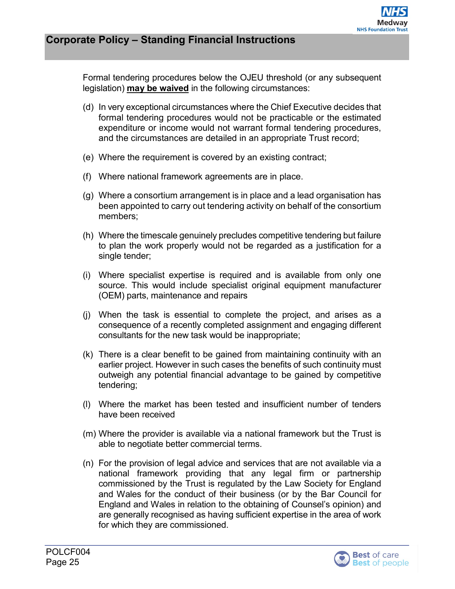Formal tendering procedures below the OJEU threshold (or any subsequent legislation) **may be waived** in the following circumstances:

- (d) In very exceptional circumstances where the Chief Executive decides that formal tendering procedures would not be practicable or the estimated expenditure or income would not warrant formal tendering procedures, and the circumstances are detailed in an appropriate Trust record;
- (e) Where the requirement is covered by an existing contract;
- (f) Where national framework agreements are in place.
- (g) Where a consortium arrangement is in place and a lead organisation has been appointed to carry out tendering activity on behalf of the consortium members;
- (h) Where the timescale genuinely precludes competitive tendering but failure to plan the work properly would not be regarded as a justification for a single tender;
- (i) Where specialist expertise is required and is available from only one source. This would include specialist original equipment manufacturer (OEM) parts, maintenance and repairs
- (j) When the task is essential to complete the project, and arises as a consequence of a recently completed assignment and engaging different consultants for the new task would be inappropriate;
- (k) There is a clear benefit to be gained from maintaining continuity with an earlier project. However in such cases the benefits of such continuity must outweigh any potential financial advantage to be gained by competitive tendering;
- (l) Where the market has been tested and insufficient number of tenders have been received
- (m) Where the provider is available via a national framework but the Trust is able to negotiate better commercial terms.
- (n) For the provision of legal advice and services that are not available via a national framework providing that any legal firm or partnership commissioned by the Trust is regulated by the Law Society for England and Wales for the conduct of their business (or by the Bar Council for England and Wales in relation to the obtaining of Counsel's opinion) and are generally recognised as having sufficient expertise in the area of work for which they are commissioned.

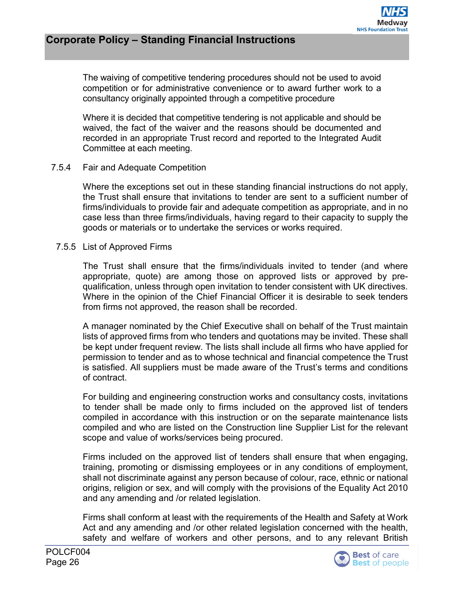The waiving of competitive tendering procedures should not be used to avoid competition or for administrative convenience or to award further work to a consultancy originally appointed through a competitive procedure

Where it is decided that competitive tendering is not applicable and should be waived, the fact of the waiver and the reasons should be documented and recorded in an appropriate Trust record and reported to the Integrated Audit Committee at each meeting.

### 7.5.4 Fair and Adequate Competition

Where the exceptions set out in these standing financial instructions do not apply, the Trust shall ensure that invitations to tender are sent to a sufficient number of firms/individuals to provide fair and adequate competition as appropriate, and in no case less than three firms/individuals, having regard to their capacity to supply the goods or materials or to undertake the services or works required.

#### 7.5.5 List of Approved Firms

The Trust shall ensure that the firms/individuals invited to tender (and where appropriate, quote) are among those on approved lists or approved by prequalification, unless through open invitation to tender consistent with UK directives. Where in the opinion of the Chief Financial Officer it is desirable to seek tenders from firms not approved, the reason shall be recorded.

A manager nominated by the Chief Executive shall on behalf of the Trust maintain lists of approved firms from who tenders and quotations may be invited. These shall be kept under frequent review. The lists shall include all firms who have applied for permission to tender and as to whose technical and financial competence the Trust is satisfied. All suppliers must be made aware of the Trust's terms and conditions of contract.

For building and engineering construction works and consultancy costs, invitations to tender shall be made only to firms included on the approved list of tenders compiled in accordance with this instruction or on the separate maintenance lists compiled and who are listed on the Construction line Supplier List for the relevant scope and value of works/services being procured.

Firms included on the approved list of tenders shall ensure that when engaging, training, promoting or dismissing employees or in any conditions of employment, shall not discriminate against any person because of colour, race, ethnic or national origins, religion or sex, and will comply with the provisions of the Equality Act 2010 and any amending and /or related legislation.

Firms shall conform at least with the requirements of the Health and Safety at Work Act and any amending and /or other related legislation concerned with the health, safety and welfare of workers and other persons, and to any relevant British

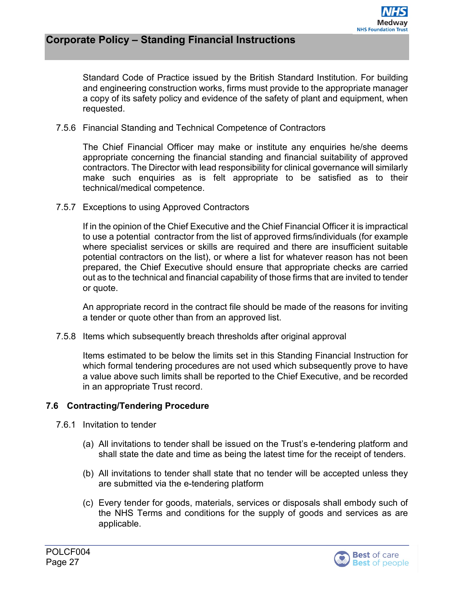Standard Code of Practice issued by the British Standard Institution. For building and engineering construction works, firms must provide to the appropriate manager a copy of its safety policy and evidence of the safety of plant and equipment, when requested.

#### 7.5.6 Financial Standing and Technical Competence of Contractors

The Chief Financial Officer may make or institute any enquiries he/she deems appropriate concerning the financial standing and financial suitability of approved contractors. The Director with lead responsibility for clinical governance will similarly make such enquiries as is felt appropriate to be satisfied as to their technical/medical competence.

7.5.7 Exceptions to using Approved Contractors

If in the opinion of the Chief Executive and the Chief Financial Officer it is impractical to use a potential contractor from the list of approved firms/individuals (for example where specialist services or skills are required and there are insufficient suitable potential contractors on the list), or where a list for whatever reason has not been prepared, the Chief Executive should ensure that appropriate checks are carried out as to the technical and financial capability of those firms that are invited to tender or quote.

An appropriate record in the contract file should be made of the reasons for inviting a tender or quote other than from an approved list.

#### 7.5.8 Items which subsequently breach thresholds after original approval

Items estimated to be below the limits set in this Standing Financial Instruction for which formal tendering procedures are not used which subsequently prove to have a value above such limits shall be reported to the Chief Executive, and be recorded in an appropriate Trust record.

### **7.6 Contracting/Tendering Procedure**

- 7.6.1 Invitation to tender
	- (a) All invitations to tender shall be issued on the Trust's e-tendering platform and shall state the date and time as being the latest time for the receipt of tenders.
	- (b) All invitations to tender shall state that no tender will be accepted unless they are submitted via the e-tendering platform
	- (c) Every tender for goods, materials, services or disposals shall embody such of the NHS Terms and conditions for the supply of goods and services as are applicable.

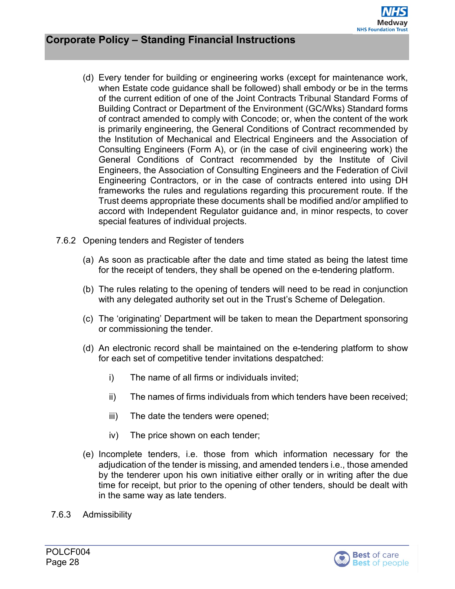

- (d) Every tender for building or engineering works (except for maintenance work, when Estate code guidance shall be followed) shall embody or be in the terms of the current edition of one of the Joint Contracts Tribunal Standard Forms of Building Contract or Department of the Environment (GC/Wks) Standard forms of contract amended to comply with Concode; or, when the content of the work is primarily engineering, the General Conditions of Contract recommended by the Institution of Mechanical and Electrical Engineers and the Association of Consulting Engineers (Form A), or (in the case of civil engineering work) the General Conditions of Contract recommended by the Institute of Civil Engineers, the Association of Consulting Engineers and the Federation of Civil Engineering Contractors, or in the case of contracts entered into using DH frameworks the rules and regulations regarding this procurement route. If the Trust deems appropriate these documents shall be modified and/or amplified to accord with Independent Regulator guidance and, in minor respects, to cover special features of individual projects.
- 7.6.2 Opening tenders and Register of tenders
	- (a) As soon as practicable after the date and time stated as being the latest time for the receipt of tenders, they shall be opened on the e-tendering platform.
	- (b) The rules relating to the opening of tenders will need to be read in conjunction with any delegated authority set out in the Trust's Scheme of Delegation.
	- (c) The 'originating' Department will be taken to mean the Department sponsoring or commissioning the tender.
	- (d) An electronic record shall be maintained on the e-tendering platform to show for each set of competitive tender invitations despatched:
		- i) The name of all firms or individuals invited;
		- ii) The names of firms individuals from which tenders have been received;
		- iii) The date the tenders were opened;
		- iv) The price shown on each tender;
	- (e) Incomplete tenders, i.e. those from which information necessary for the adjudication of the tender is missing, and amended tenders i.e., those amended by the tenderer upon his own initiative either orally or in writing after the due time for receipt, but prior to the opening of other tenders, should be dealt with in the same way as late tenders.
- 7.6.3 Admissibility

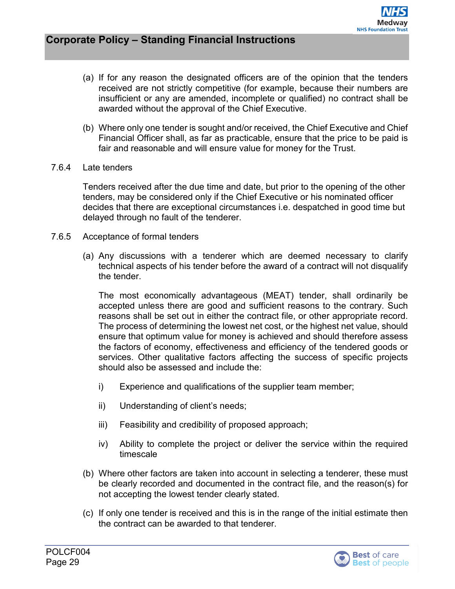- (a) If for any reason the designated officers are of the opinion that the tenders received are not strictly competitive (for example, because their numbers are insufficient or any are amended, incomplete or qualified) no contract shall be awarded without the approval of the Chief Executive.
- (b) Where only one tender is sought and/or received, the Chief Executive and Chief Financial Officer shall, as far as practicable, ensure that the price to be paid is fair and reasonable and will ensure value for money for the Trust.

#### 7.6.4 Late tenders

Tenders received after the due time and date, but prior to the opening of the other tenders, may be considered only if the Chief Executive or his nominated officer decides that there are exceptional circumstances i.e. despatched in good time but delayed through no fault of the tenderer.

- 7.6.5 Acceptance of formal tenders
	- (a) Any discussions with a tenderer which are deemed necessary to clarify technical aspects of his tender before the award of a contract will not disqualify the tender.

The most economically advantageous (MEAT) tender, shall ordinarily be accepted unless there are good and sufficient reasons to the contrary. Such reasons shall be set out in either the contract file, or other appropriate record. The process of determining the lowest net cost, or the highest net value, should ensure that optimum value for money is achieved and should therefore assess the factors of economy, effectiveness and efficiency of the tendered goods or services. Other qualitative factors affecting the success of specific projects should also be assessed and include the:

- i) Experience and qualifications of the supplier team member;
- ii) Understanding of client's needs;
- iii) Feasibility and credibility of proposed approach;
- iv) Ability to complete the project or deliver the service within the required timescale
- (b) Where other factors are taken into account in selecting a tenderer, these must be clearly recorded and documented in the contract file, and the reason(s) for not accepting the lowest tender clearly stated.
- (c) If only one tender is received and this is in the range of the initial estimate then the contract can be awarded to that tenderer.

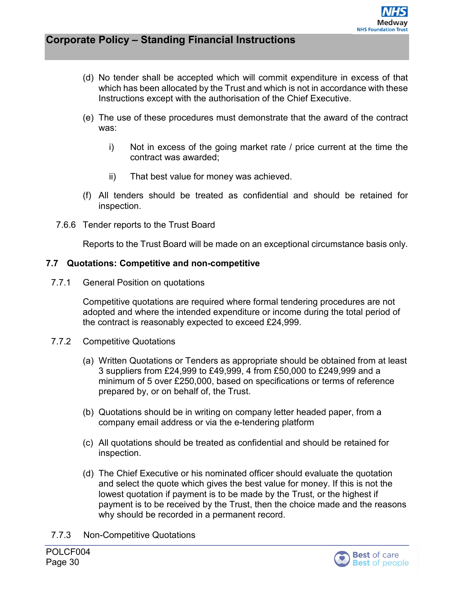- (d) No tender shall be accepted which will commit expenditure in excess of that which has been allocated by the Trust and which is not in accordance with these Instructions except with the authorisation of the Chief Executive.
- (e) The use of these procedures must demonstrate that the award of the contract was:
	- i) Not in excess of the going market rate / price current at the time the contract was awarded;
	- ii) That best value for money was achieved.
- (f) All tenders should be treated as confidential and should be retained for inspection.
- 7.6.6 Tender reports to the Trust Board

Reports to the Trust Board will be made on an exceptional circumstance basis only.

### **7.7 Quotations: Competitive and non-competitive**

7.7.1 General Position on quotations

Competitive quotations are required where formal tendering procedures are not adopted and where the intended expenditure or income during the total period of the contract is reasonably expected to exceed £24,999.

- 7.7.2 Competitive Quotations
	- (a) Written Quotations or Tenders as appropriate should be obtained from at least 3 suppliers from £24,999 to £49,999, 4 from £50,000 to £249,999 and a minimum of 5 over £250,000, based on specifications or terms of reference prepared by, or on behalf of, the Trust.
	- (b) Quotations should be in writing on company letter headed paper, from a company email address or via the e-tendering platform
	- (c) All quotations should be treated as confidential and should be retained for inspection.
	- (d) The Chief Executive or his nominated officer should evaluate the quotation and select the quote which gives the best value for money. If this is not the lowest quotation if payment is to be made by the Trust, or the highest if payment is to be received by the Trust, then the choice made and the reasons why should be recorded in a permanent record.
- 7.7.3 Non-Competitive Quotations

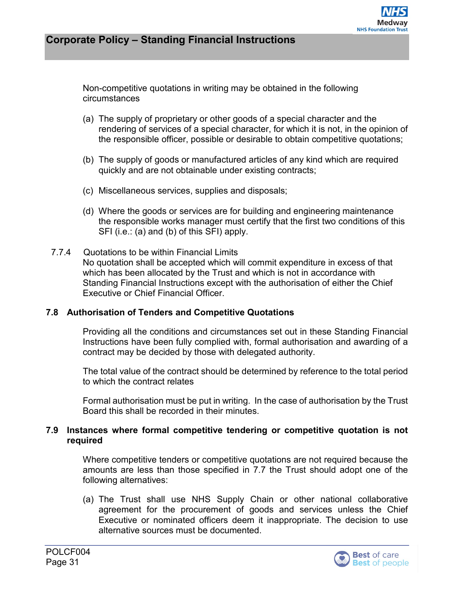

Non-competitive quotations in writing may be obtained in the following circumstances

- (a) The supply of proprietary or other goods of a special character and the rendering of services of a special character, for which it is not, in the opinion of the responsible officer, possible or desirable to obtain competitive quotations;
- (b) The supply of goods or manufactured articles of any kind which are required quickly and are not obtainable under existing contracts;
- (c) Miscellaneous services, supplies and disposals;
- (d) Where the goods or services are for building and engineering maintenance the responsible works manager must certify that the first two conditions of this SFI (i.e.: (a) and (b) of this SFI) apply.
- 7.7.4 Quotations to be within Financial Limits No quotation shall be accepted which will commit expenditure in excess of that which has been allocated by the Trust and which is not in accordance with Standing Financial Instructions except with the authorisation of either the Chief Executive or Chief Financial Officer.

### **7.8 Authorisation of Tenders and Competitive Quotations**

Providing all the conditions and circumstances set out in these Standing Financial Instructions have been fully complied with, formal authorisation and awarding of a contract may be decided by those with delegated authority.

The total value of the contract should be determined by reference to the total period to which the contract relates

Formal authorisation must be put in writing. In the case of authorisation by the Trust Board this shall be recorded in their minutes.

### **7.9 Instances where formal competitive tendering or competitive quotation is not required**

Where competitive tenders or competitive quotations are not required because the amounts are less than those specified in 7.7 the Trust should adopt one of the following alternatives:

(a) The Trust shall use NHS Supply Chain or other national collaborative agreement for the procurement of goods and services unless the Chief Executive or nominated officers deem it inappropriate. The decision to use alternative sources must be documented.

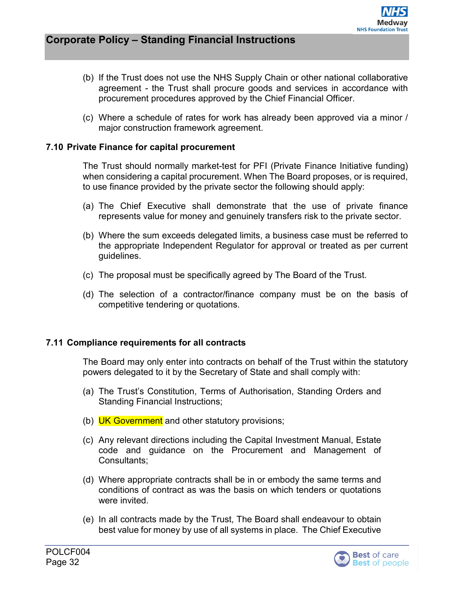- (b) If the Trust does not use the NHS Supply Chain or other national collaborative agreement - the Trust shall procure goods and services in accordance with procurement procedures approved by the Chief Financial Officer.
- (c) Where a schedule of rates for work has already been approved via a minor / major construction framework agreement.

### **7.10 Private Finance for capital procurement**

The Trust should normally market-test for PFI (Private Finance Initiative funding) when considering a capital procurement. When The Board proposes, or is required, to use finance provided by the private sector the following should apply:

- (a) The Chief Executive shall demonstrate that the use of private finance represents value for money and genuinely transfers risk to the private sector.
- (b) Where the sum exceeds delegated limits, a business case must be referred to the appropriate Independent Regulator for approval or treated as per current guidelines.
- (c) The proposal must be specifically agreed by The Board of the Trust.
- (d) The selection of a contractor/finance company must be on the basis of competitive tendering or quotations.

### **7.11 Compliance requirements for all contracts**

The Board may only enter into contracts on behalf of the Trust within the statutory powers delegated to it by the Secretary of State and shall comply with:

- (a) The Trust's Constitution, Terms of Authorisation, Standing Orders and Standing Financial Instructions;
- (b)  $UK Government$  and other statutory provisions;
- (c) Any relevant directions including the Capital Investment Manual, Estate code and guidance on the Procurement and Management of Consultants;
- (d) Where appropriate contracts shall be in or embody the same terms and conditions of contract as was the basis on which tenders or quotations were invited.
- (e) In all contracts made by the Trust, The Board shall endeavour to obtain best value for money by use of all systems in place. The Chief Executive

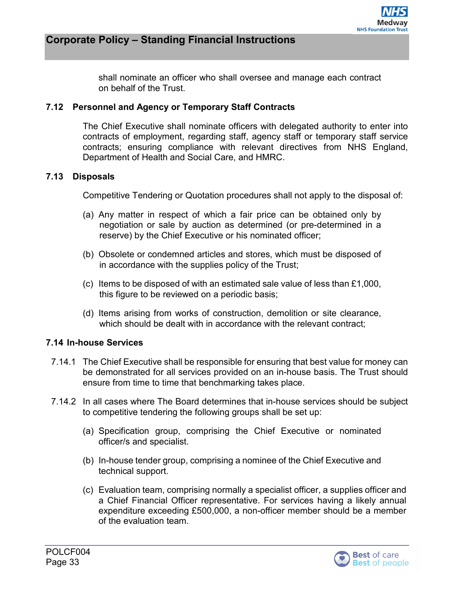shall nominate an officer who shall oversee and manage each contract on behalf of the Trust.

### **7.12 Personnel and Agency or Temporary Staff Contracts**

The Chief Executive shall nominate officers with delegated authority to enter into contracts of employment, regarding staff, agency staff or temporary staff service contracts; ensuring compliance with relevant directives from NHS England, Department of Health and Social Care, and HMRC.

### **7.13 Disposals**

Competitive Tendering or Quotation procedures shall not apply to the disposal of:

- (a) Any matter in respect of which a fair price can be obtained only by negotiation or sale by auction as determined (or pre-determined in a reserve) by the Chief Executive or his nominated officer;
- (b) Obsolete or condemned articles and stores, which must be disposed of in accordance with the supplies policy of the Trust;
- (c) Items to be disposed of with an estimated sale value of less than £1,000, this figure to be reviewed on a periodic basis;
- (d) Items arising from works of construction, demolition or site clearance, which should be dealt with in accordance with the relevant contract;

### **7.14 In-house Services**

- 7.14.1 The Chief Executive shall be responsible for ensuring that best value for money can be demonstrated for all services provided on an in-house basis. The Trust should ensure from time to time that benchmarking takes place.
- 7.14.2 In all cases where The Board determines that in-house services should be subject to competitive tendering the following groups shall be set up:
	- (a) Specification group, comprising the Chief Executive or nominated officer/s and specialist.
	- (b) In-house tender group, comprising a nominee of the Chief Executive and technical support.
	- (c) Evaluation team, comprising normally a specialist officer, a supplies officer and a Chief Financial Officer representative. For services having a likely annual expenditure exceeding £500,000, a non-officer member should be a member of the evaluation team.

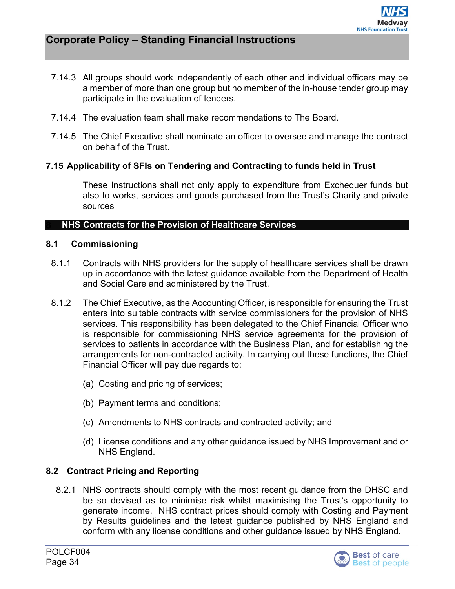

- 7.14.3 All groups should work independently of each other and individual officers may be a member of more than one group but no member of the in-house tender group may participate in the evaluation of tenders.
- 7.14.4 The evaluation team shall make recommendations to The Board.
- 7.14.5 The Chief Executive shall nominate an officer to oversee and manage the contract on behalf of the Trust.

### **7.15 Applicability of SFIs on Tendering and Contracting to funds held in Trust**

These Instructions shall not only apply to expenditure from Exchequer funds but also to works, services and goods purchased from the Trust's Charity and private sources

#### <span id="page-33-0"></span>**NHS Contracts for the Provision of Healthcare Services**

#### **8.1 Commissioning**

- 8.1.1 Contracts with NHS providers for the supply of healthcare services shall be drawn up in accordance with the latest guidance available from the Department of Health and Social Care and administered by the Trust.
- 8.1.2 The Chief Executive, as the Accounting Officer, is responsible for ensuring the Trust enters into suitable contracts with service commissioners for the provision of NHS services. This responsibility has been delegated to the Chief Financial Officer who is responsible for commissioning NHS service agreements for the provision of services to patients in accordance with the Business Plan, and for establishing the arrangements for non-contracted activity. In carrying out these functions, the Chief Financial Officer will pay due regards to:
	- (a) Costing and pricing of services;
	- (b) Payment terms and conditions;
	- (c) Amendments to NHS contracts and contracted activity; and
	- (d) License conditions and any other guidance issued by NHS Improvement and or NHS England.

### **8.2 Contract Pricing and Reporting**

8.2.1 NHS contracts should comply with the most recent guidance from the DHSC and be so devised as to minimise risk whilst maximising the Trust's opportunity to generate income. NHS contract prices should comply with Costing and Payment by Results guidelines and the latest guidance published by NHS England and conform with any license conditions and other guidance issued by NHS England.

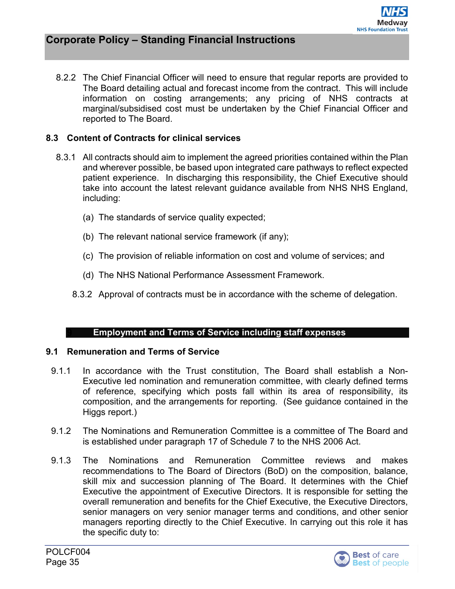8.2.2 The Chief Financial Officer will need to ensure that regular reports are provided to The Board detailing actual and forecast income from the contract. This will include information on costing arrangements; any pricing of NHS contracts at marginal/subsidised cost must be undertaken by the Chief Financial Officer and reported to The Board.

### **8.3 Content of Contracts for clinical services**

- 8.3.1 All contracts should aim to implement the agreed priorities contained within the Plan and wherever possible, be based upon integrated care pathways to reflect expected patient experience. In discharging this responsibility, the Chief Executive should take into account the latest relevant guidance available from NHS NHS England, including:
	- (a) The standards of service quality expected;
	- (b) The relevant national service framework (if any);
	- (c) The provision of reliable information on cost and volume of services; and
	- (d) The NHS National Performance Assessment Framework.
	- 8.3.2 Approval of contracts must be in accordance with the scheme of delegation.

### **Employment and Terms of Service including staff expenses**

### <span id="page-34-0"></span>**9.1 Remuneration and Terms of Service**

- 9.1.1 In accordance with the Trust constitution, The Board shall establish a Non-Executive led nomination and remuneration committee, with clearly defined terms of reference, specifying which posts fall within its area of responsibility, its composition, and the arrangements for reporting. (See guidance contained in the Higgs report.)
- 9.1.2 The Nominations and Remuneration Committee is a committee of The Board and is established under paragraph 17 of Schedule 7 to the NHS 2006 Act.
- 9.1.3 The Nominations and Remuneration Committee reviews and makes recommendations to The Board of Directors (BoD) on the composition, balance, skill mix and succession planning of The Board. It determines with the Chief Executive the appointment of Executive Directors. It is responsible for setting the overall remuneration and benefits for the Chief Executive, the Executive Directors, senior managers on very senior manager terms and conditions, and other senior managers reporting directly to the Chief Executive. In carrying out this role it has the specific duty to:

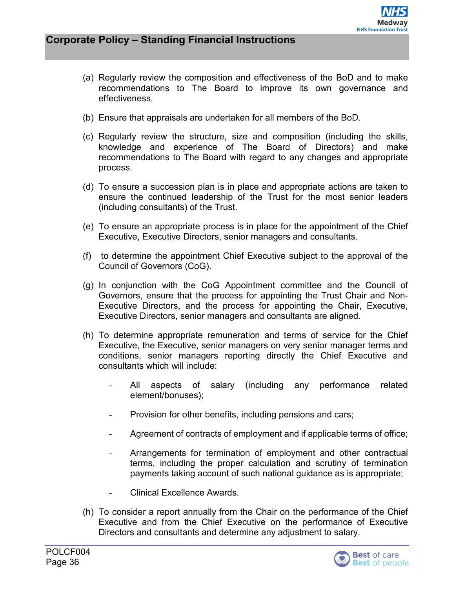- (a) Regularly review the composition and effectiveness of the BoD and to make recommendations to The Board to improve its own governance and effectiveness.
- (b) Ensure that appraisals are undertaken for all members of the BoD.
- (c) Regularly review the structure, size and composition (including the skills, knowledge and experience of The Board of Directors) and make recommendations to The Board with regard to any changes and appropriate process.
- (d) To ensure a succession plan is in place and appropriate actions are taken to ensure the continued leadership of the Trust for the most senior leaders (including consultants) of the Trust.
- (e) To ensure an appropriate process is in place for the appointment of the Chief Executive, Executive Directors, senior managers and consultants.
- (f) to determine the appointment Chief Executive subject to the approval of the Council of Governors (CoG).
- (g) In conjunction with the CoG Appointment committee and the Council of Governors, ensure that the process for appointing the Trust Chair and Non-Executive Directors, and the process for appointing the Chair, Executive, Executive Directors, senior managers and consultants are aligned.
- (h) To determine appropriate remuneration and terms of service for the Chief Executive, the Executive, senior managers on very senior manager terms and conditions, senior managers reporting directly the Chief Executive and consultants which will include:
	- All aspects of salary (including any performance related element/bonuses);
	- Provision for other benefits, including pensions and cars;
	- Agreement of contracts of employment and if applicable terms of office;
	- Arrangements for termination of employment and other contractual terms, including the proper calculation and scrutiny of termination payments taking account of such national guidance as is appropriate;
	- Clinical Excellence Awards.
- (h) To consider a report annually from the Chair on the performance of the Chief Executive and from the Chief Executive on the performance of Executive Directors and consultants and determine any adjustment to salary.

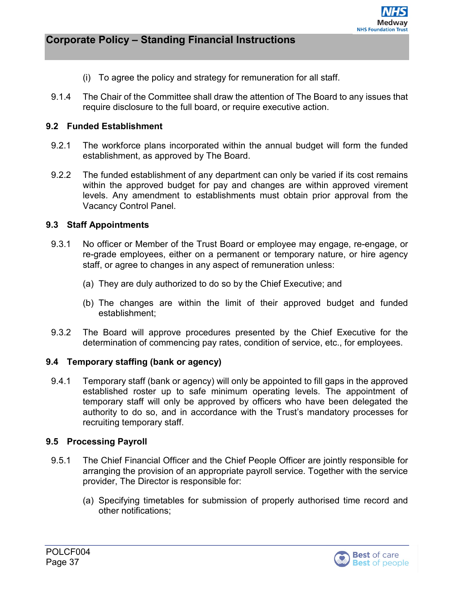- (i) To agree the policy and strategy for remuneration for all staff.
- 9.1.4 The Chair of the Committee shall draw the attention of The Board to any issues that require disclosure to the full board, or require executive action.

### **9.2 Funded Establishment**

- 9.2.1 The workforce plans incorporated within the annual budget will form the funded establishment, as approved by The Board.
- 9.2.2 The funded establishment of any department can only be varied if its cost remains within the approved budget for pay and changes are within approved virement levels. Any amendment to establishments must obtain prior approval from the Vacancy Control Panel.

## **9.3 Staff Appointments**

- 9.3.1 No officer or Member of the Trust Board or employee may engage, re-engage, or re-grade employees, either on a permanent or temporary nature, or hire agency staff, or agree to changes in any aspect of remuneration unless:
	- (a) They are duly authorized to do so by the Chief Executive; and
	- (b) The changes are within the limit of their approved budget and funded establishment;
- 9.3.2 The Board will approve procedures presented by the Chief Executive for the determination of commencing pay rates, condition of service, etc., for employees.

## **9.4 Temporary staffing (bank or agency)**

9.4.1 Temporary staff (bank or agency) will only be appointed to fill gaps in the approved established roster up to safe minimum operating levels. The appointment of temporary staff will only be approved by officers who have been delegated the authority to do so, and in accordance with the Trust's mandatory processes for recruiting temporary staff.

## **9.5 Processing Payroll**

- 9.5.1 The Chief Financial Officer and the Chief People Officer are jointly responsible for arranging the provision of an appropriate payroll service. Together with the service provider, The Director is responsible for:
	- (a) Specifying timetables for submission of properly authorised time record and other notifications;



**NHS Foundation Trust**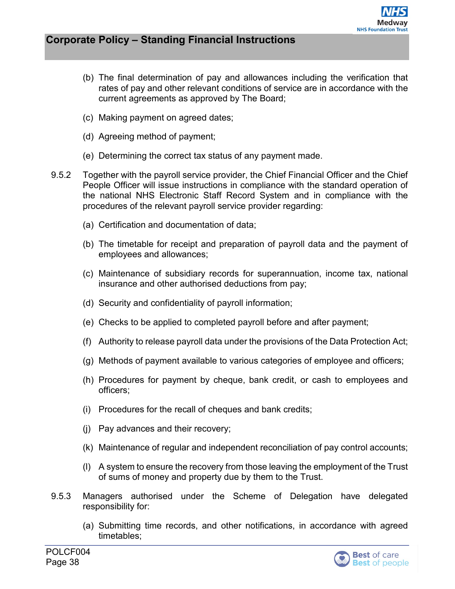

- (b) The final determination of pay and allowances including the verification that rates of pay and other relevant conditions of service are in accordance with the current agreements as approved by The Board;
- (c) Making payment on agreed dates;
- (d) Agreeing method of payment;
- (e) Determining the correct tax status of any payment made.
- 9.5.2 Together with the payroll service provider, the Chief Financial Officer and the Chief People Officer will issue instructions in compliance with the standard operation of the national NHS Electronic Staff Record System and in compliance with the procedures of the relevant payroll service provider regarding:
	- (a) Certification and documentation of data;
	- (b) The timetable for receipt and preparation of payroll data and the payment of employees and allowances;
	- (c) Maintenance of subsidiary records for superannuation, income tax, national insurance and other authorised deductions from pay;
	- (d) Security and confidentiality of payroll information;
	- (e) Checks to be applied to completed payroll before and after payment;
	- (f) Authority to release payroll data under the provisions of the Data Protection Act;
	- (g) Methods of payment available to various categories of employee and officers;
	- (h) Procedures for payment by cheque, bank credit, or cash to employees and officers;
	- (i) Procedures for the recall of cheques and bank credits;
	- (j) Pay advances and their recovery;
	- (k) Maintenance of regular and independent reconciliation of pay control accounts;
	- (l) A system to ensure the recovery from those leaving the employment of the Trust of sums of money and property due by them to the Trust.
- 9.5.3 Managers authorised under the Scheme of Delegation have delegated responsibility for:
	- (a) Submitting time records, and other notifications, in accordance with agreed timetables;

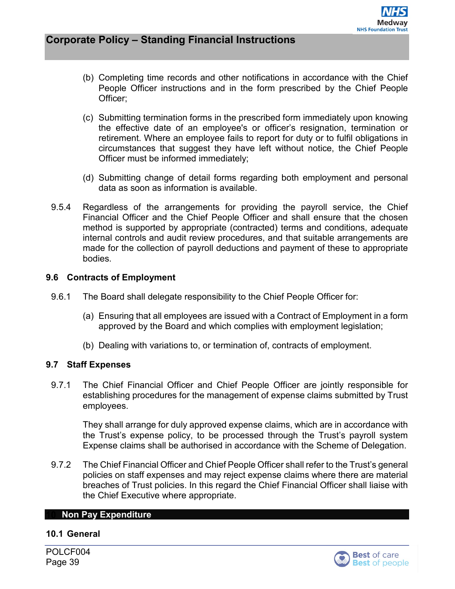- (b) Completing time records and other notifications in accordance with the Chief People Officer instructions and in the form prescribed by the Chief People Officer;
- (c) Submitting termination forms in the prescribed form immediately upon knowing the effective date of an employee's or officer's resignation, termination or retirement. Where an employee fails to report for duty or to fulfil obligations in circumstances that suggest they have left without notice, the Chief People Officer must be informed immediately;
- (d) Submitting change of detail forms regarding both employment and personal data as soon as information is available.
- 9.5.4 Regardless of the arrangements for providing the payroll service, the Chief Financial Officer and the Chief People Officer and shall ensure that the chosen method is supported by appropriate (contracted) terms and conditions, adequate internal controls and audit review procedures, and that suitable arrangements are made for the collection of payroll deductions and payment of these to appropriate bodies.

### **9.6 Contracts of Employment**

- 9.6.1 The Board shall delegate responsibility to the Chief People Officer for:
	- (a) Ensuring that all employees are issued with a Contract of Employment in a form approved by the Board and which complies with employment legislation;
	- (b) Dealing with variations to, or termination of, contracts of employment.

### **9.7 Staff Expenses**

9.7.1 The Chief Financial Officer and Chief People Officer are jointly responsible for establishing procedures for the management of expense claims submitted by Trust employees.

They shall arrange for duly approved expense claims, which are in accordance with the Trust's expense policy, to be processed through the Trust's payroll system Expense claims shall be authorised in accordance with the Scheme of Delegation.

9.7.2 The Chief Financial Officer and Chief People Officer shall refer to the Trust's general policies on staff expenses and may reject expense claims where there are material breaches of Trust policies. In this regard the Chief Financial Officer shall liaise with the Chief Executive where appropriate.

### <span id="page-38-0"></span>**Non Pay Expenditure**

#### **10.1 General**

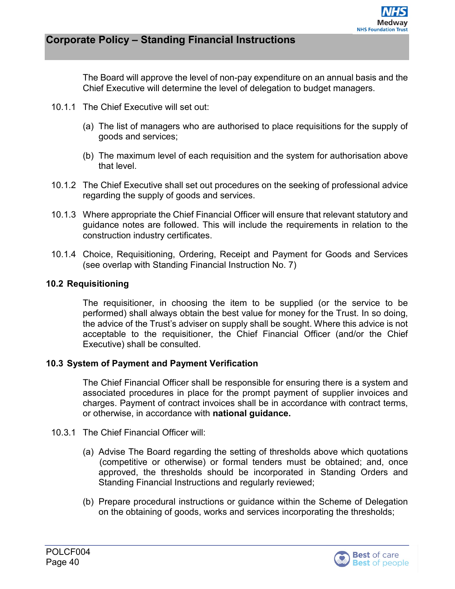The Board will approve the level of non-pay expenditure on an annual basis and the Chief Executive will determine the level of delegation to budget managers.

- 10.1.1 The Chief Executive will set out:
	- (a) The list of managers who are authorised to place requisitions for the supply of goods and services;
	- (b) The maximum level of each requisition and the system for authorisation above that level.
- 10.1.2 The Chief Executive shall set out procedures on the seeking of professional advice regarding the supply of goods and services.
- 10.1.3 Where appropriate the Chief Financial Officer will ensure that relevant statutory and guidance notes are followed. This will include the requirements in relation to the construction industry certificates.
- 10.1.4 Choice, Requisitioning, Ordering, Receipt and Payment for Goods and Services (see overlap with Standing Financial Instruction No. 7)

### **10.2 Requisitioning**

The requisitioner, in choosing the item to be supplied (or the service to be performed) shall always obtain the best value for money for the Trust. In so doing, the advice of the Trust's adviser on supply shall be sought. Where this advice is not acceptable to the requisitioner, the Chief Financial Officer (and/or the Chief Executive) shall be consulted.

### **10.3 System of Payment and Payment Verification**

The Chief Financial Officer shall be responsible for ensuring there is a system and associated procedures in place for the prompt payment of supplier invoices and charges. Payment of contract invoices shall be in accordance with contract terms, or otherwise, in accordance with **national guidance.**

- 10.3.1 The Chief Financial Officer will:
	- (a) Advise The Board regarding the setting of thresholds above which quotations (competitive or otherwise) or formal tenders must be obtained; and, once approved, the thresholds should be incorporated in Standing Orders and Standing Financial Instructions and regularly reviewed;
	- (b) Prepare procedural instructions or guidance within the Scheme of Delegation on the obtaining of goods, works and services incorporating the thresholds;

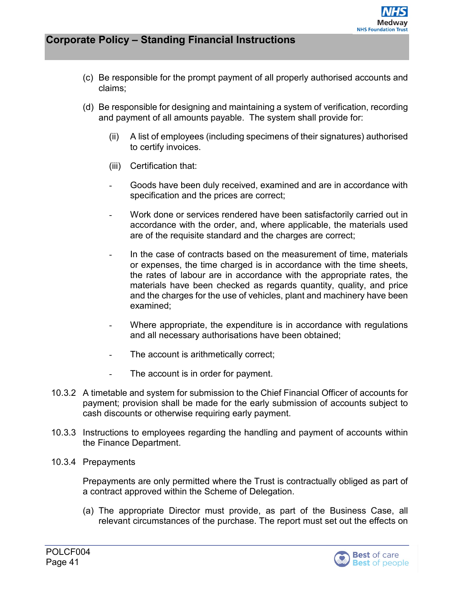- (c) Be responsible for the prompt payment of all properly authorised accounts and claims;
- (d) Be responsible for designing and maintaining a system of verification, recording and payment of all amounts payable. The system shall provide for:
	- (ii) A list of employees (including specimens of their signatures) authorised to certify invoices.
	- (iii) Certification that:
	- Goods have been duly received, examined and are in accordance with specification and the prices are correct;
	- Work done or services rendered have been satisfactorily carried out in accordance with the order, and, where applicable, the materials used are of the requisite standard and the charges are correct;
	- In the case of contracts based on the measurement of time, materials or expenses, the time charged is in accordance with the time sheets, the rates of labour are in accordance with the appropriate rates, the materials have been checked as regards quantity, quality, and price and the charges for the use of vehicles, plant and machinery have been examined;
	- Where appropriate, the expenditure is in accordance with regulations and all necessary authorisations have been obtained;
	- The account is arithmetically correct;
	- The account is in order for payment.
- 10.3.2 A timetable and system for submission to the Chief Financial Officer of accounts for payment; provision shall be made for the early submission of accounts subject to cash discounts or otherwise requiring early payment.
- 10.3.3 Instructions to employees regarding the handling and payment of accounts within the Finance Department.
- 10.3.4 Prepayments

Prepayments are only permitted where the Trust is contractually obliged as part of a contract approved within the Scheme of Delegation.

(a) The appropriate Director must provide, as part of the Business Case, all relevant circumstances of the purchase. The report must set out the effects on

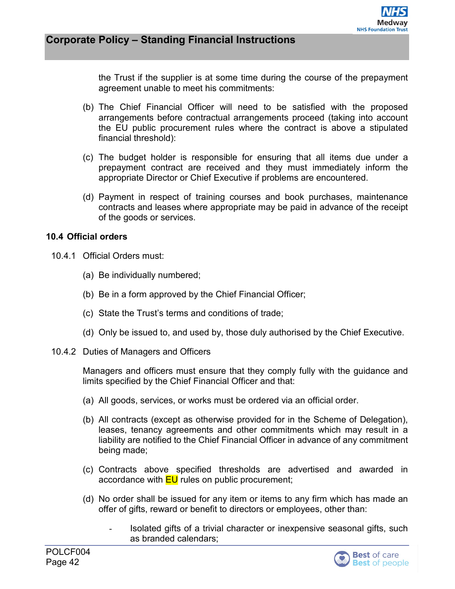the Trust if the supplier is at some time during the course of the prepayment agreement unable to meet his commitments:

- (b) The Chief Financial Officer will need to be satisfied with the proposed arrangements before contractual arrangements proceed (taking into account the EU public procurement rules where the contract is above a stipulated financial threshold):
- (c) The budget holder is responsible for ensuring that all items due under a prepayment contract are received and they must immediately inform the appropriate Director or Chief Executive if problems are encountered.
- (d) Payment in respect of training courses and book purchases, maintenance contracts and leases where appropriate may be paid in advance of the receipt of the goods or services.

### **10.4 Official orders**

- 10.4.1 Official Orders must:
	- (a) Be individually numbered;
	- (b) Be in a form approved by the Chief Financial Officer;
	- (c) State the Trust's terms and conditions of trade;
	- (d) Only be issued to, and used by, those duly authorised by the Chief Executive.
- 10.4.2 Duties of Managers and Officers

Managers and officers must ensure that they comply fully with the guidance and limits specified by the Chief Financial Officer and that:

- (a) All goods, services, or works must be ordered via an official order.
- (b) All contracts (except as otherwise provided for in the Scheme of Delegation), leases, tenancy agreements and other commitments which may result in a liability are notified to the Chief Financial Officer in advance of any commitment being made;
- (c) Contracts above specified thresholds are advertised and awarded in accordance with **EU** rules on public procurement;
- (d) No order shall be issued for any item or items to any firm which has made an offer of gifts, reward or benefit to directors or employees, other than:
	- Isolated gifts of a trivial character or inexpensive seasonal gifts, such as branded calendars;

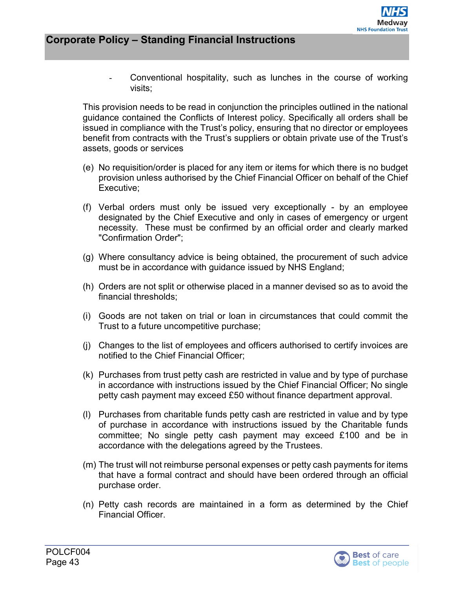Conventional hospitality, such as lunches in the course of working visits;

This provision needs to be read in conjunction the principles outlined in the national guidance contained the Conflicts of Interest policy. Specifically all orders shall be issued in compliance with the Trust's policy, ensuring that no director or employees benefit from contracts with the Trust's suppliers or obtain private use of the Trust's assets, goods or services

- (e) No requisition/order is placed for any item or items for which there is no budget provision unless authorised by the Chief Financial Officer on behalf of the Chief Executive;
- (f) Verbal orders must only be issued very exceptionally by an employee designated by the Chief Executive and only in cases of emergency or urgent necessity. These must be confirmed by an official order and clearly marked "Confirmation Order";
- (g) Where consultancy advice is being obtained, the procurement of such advice must be in accordance with guidance issued by NHS England;
- (h) Orders are not split or otherwise placed in a manner devised so as to avoid the financial thresholds;
- (i) Goods are not taken on trial or loan in circumstances that could commit the Trust to a future uncompetitive purchase;
- (j) Changes to the list of employees and officers authorised to certify invoices are notified to the Chief Financial Officer;
- (k) Purchases from trust petty cash are restricted in value and by type of purchase in accordance with instructions issued by the Chief Financial Officer; No single petty cash payment may exceed £50 without finance department approval.
- (l) Purchases from charitable funds petty cash are restricted in value and by type of purchase in accordance with instructions issued by the Charitable funds committee; No single petty cash payment may exceed £100 and be in accordance with the delegations agreed by the Trustees.
- (m) The trust will not reimburse personal expenses or petty cash payments for items that have a formal contract and should have been ordered through an official purchase order.
- (n) Petty cash records are maintained in a form as determined by the Chief Financial Officer.

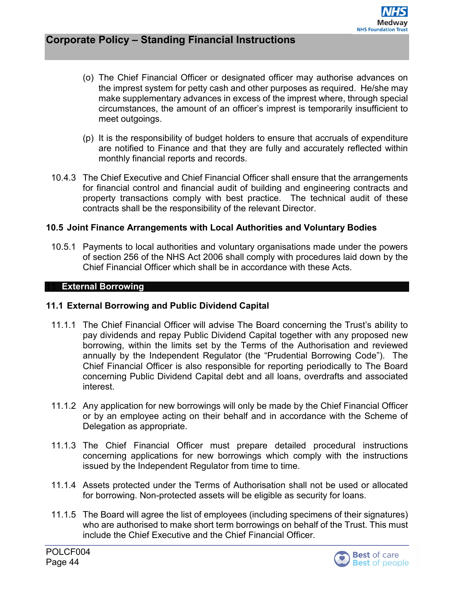- (o) The Chief Financial Officer or designated officer may authorise advances on the imprest system for petty cash and other purposes as required. He/she may make supplementary advances in excess of the imprest where, through special circumstances, the amount of an officer's imprest is temporarily insufficient to meet outgoings.
- (p) It is the responsibility of budget holders to ensure that accruals of expenditure are notified to Finance and that they are fully and accurately reflected within monthly financial reports and records.
- 10.4.3 The Chief Executive and Chief Financial Officer shall ensure that the arrangements for financial control and financial audit of building and engineering contracts and property transactions comply with best practice. The technical audit of these contracts shall be the responsibility of the relevant Director.

#### **10.5 Joint Finance Arrangements with Local Authorities and Voluntary Bodies**

10.5.1 Payments to local authorities and voluntary organisations made under the powers of section 256 of the NHS Act 2006 shall comply with procedures laid down by the Chief Financial Officer which shall be in accordance with these Acts.

#### <span id="page-43-0"></span>**External Borrowing**

### **11.1 External Borrowing and Public Dividend Capital**

- 11.1.1 The Chief Financial Officer will advise The Board concerning the Trust's ability to pay dividends and repay Public Dividend Capital together with any proposed new borrowing, within the limits set by the Terms of the Authorisation and reviewed annually by the Independent Regulator (the "Prudential Borrowing Code"). The Chief Financial Officer is also responsible for reporting periodically to The Board concerning Public Dividend Capital debt and all loans, overdrafts and associated interest.
- 11.1.2 Any application for new borrowings will only be made by the Chief Financial Officer or by an employee acting on their behalf and in accordance with the Scheme of Delegation as appropriate.
- 11.1.3 The Chief Financial Officer must prepare detailed procedural instructions concerning applications for new borrowings which comply with the instructions issued by the Independent Regulator from time to time.
- 11.1.4 Assets protected under the Terms of Authorisation shall not be used or allocated for borrowing. Non-protected assets will be eligible as security for loans.
- 11.1.5 The Board will agree the list of employees (including specimens of their signatures) who are authorised to make short term borrowings on behalf of the Trust. This must include the Chief Executive and the Chief Financial Officer.

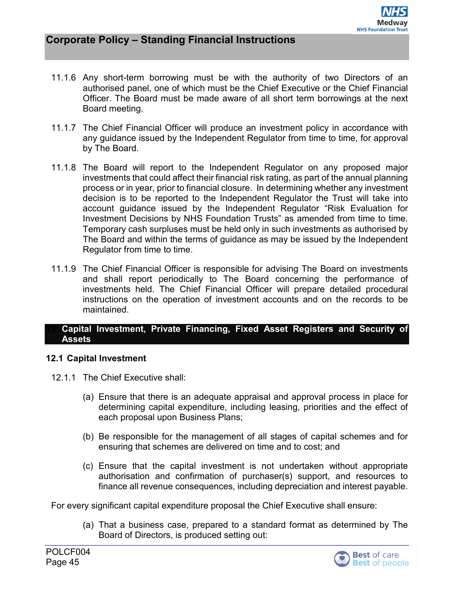- 11.1.6 Any short-term borrowing must be with the authority of two Directors of an authorised panel, one of which must be the Chief Executive or the Chief Financial Officer. The Board must be made aware of all short term borrowings at the next Board meeting.
- 11.1.7 The Chief Financial Officer will produce an investment policy in accordance with any guidance issued by the Independent Regulator from time to time, for approval by The Board.
- 11.1.8 The Board will report to the Independent Regulator on any proposed major investments that could affect their financial risk rating, as part of the annual planning process or in year, prior to financial closure. In determining whether any investment decision is to be reported to the Independent Regulator the Trust will take into account guidance issued by the Independent Regulator "Risk Evaluation for Investment Decisions by NHS Foundation Trusts" as amended from time to time. Temporary cash surpluses must be held only in such investments as authorised by The Board and within the terms of guidance as may be issued by the Independent Regulator from time to time.
- 11.1.9 The Chief Financial Officer is responsible for advising The Board on investments and shall report periodically to The Board concerning the performance of investments held. The Chief Financial Officer will prepare detailed procedural instructions on the operation of investment accounts and on the records to be maintained.

### <span id="page-44-0"></span>**Capital Investment, Private Financing, Fixed Asset Registers and Security of Assets**

### **12.1 Capital Investment**

- 12.1.1 The Chief Executive shall:
	- (a) Ensure that there is an adequate appraisal and approval process in place for determining capital expenditure, including leasing, priorities and the effect of each proposal upon Business Plans;
	- (b) Be responsible for the management of all stages of capital schemes and for ensuring that schemes are delivered on time and to cost; and
	- (c) Ensure that the capital investment is not undertaken without appropriate authorisation and confirmation of purchaser(s) support, and resources to finance all revenue consequences, including depreciation and interest payable.

For every significant capital expenditure proposal the Chief Executive shall ensure:

(a) That a business case, prepared to a standard format as determined by The Board of Directors, is produced setting out:

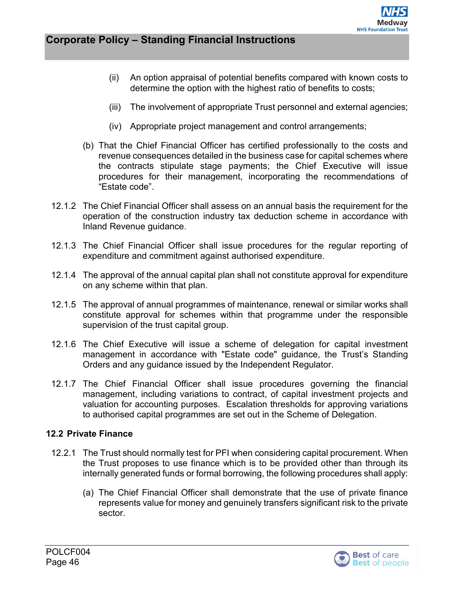- (ii) An option appraisal of potential benefits compared with known costs to determine the option with the highest ratio of benefits to costs;
- (iii) The involvement of appropriate Trust personnel and external agencies;
- (iv) Appropriate project management and control arrangements;
- (b) That the Chief Financial Officer has certified professionally to the costs and revenue consequences detailed in the business case for capital schemes where the contracts stipulate stage payments; the Chief Executive will issue procedures for their management, incorporating the recommendations of "Estate code".
- 12.1.2 The Chief Financial Officer shall assess on an annual basis the requirement for the operation of the construction industry tax deduction scheme in accordance with Inland Revenue guidance.
- 12.1.3 The Chief Financial Officer shall issue procedures for the regular reporting of expenditure and commitment against authorised expenditure.
- 12.1.4 The approval of the annual capital plan shall not constitute approval for expenditure on any scheme within that plan.
- 12.1.5 The approval of annual programmes of maintenance, renewal or similar works shall constitute approval for schemes within that programme under the responsible supervision of the trust capital group.
- 12.1.6 The Chief Executive will issue a scheme of delegation for capital investment management in accordance with "Estate code" guidance, the Trust's Standing Orders and any guidance issued by the Independent Regulator.
- 12.1.7 The Chief Financial Officer shall issue procedures governing the financial management, including variations to contract, of capital investment projects and valuation for accounting purposes. Escalation thresholds for approving variations to authorised capital programmes are set out in the Scheme of Delegation.

### **12.2 Private Finance**

- 12.2.1 The Trust should normally test for PFI when considering capital procurement. When the Trust proposes to use finance which is to be provided other than through its internally generated funds or formal borrowing, the following procedures shall apply:
	- (a) The Chief Financial Officer shall demonstrate that the use of private finance represents value for money and genuinely transfers significant risk to the private sector.

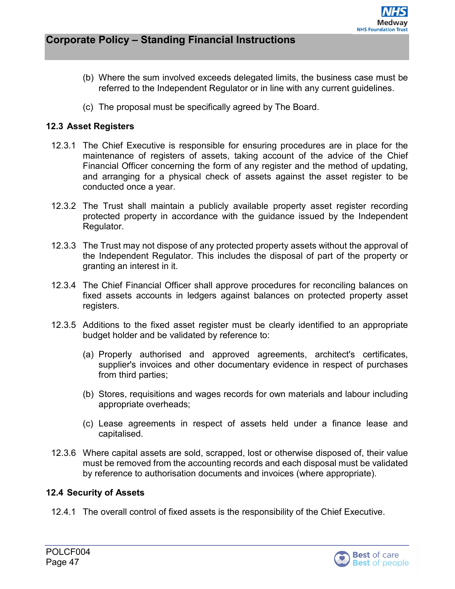- (b) Where the sum involved exceeds delegated limits, the business case must be referred to the Independent Regulator or in line with any current guidelines.
- (c) The proposal must be specifically agreed by The Board.

### **12.3 Asset Registers**

- 12.3.1 The Chief Executive is responsible for ensuring procedures are in place for the maintenance of registers of assets, taking account of the advice of the Chief Financial Officer concerning the form of any register and the method of updating, and arranging for a physical check of assets against the asset register to be conducted once a year.
- 12.3.2 The Trust shall maintain a publicly available property asset register recording protected property in accordance with the guidance issued by the Independent Regulator.
- 12.3.3 The Trust may not dispose of any protected property assets without the approval of the Independent Regulator. This includes the disposal of part of the property or granting an interest in it.
- 12.3.4 The Chief Financial Officer shall approve procedures for reconciling balances on fixed assets accounts in ledgers against balances on protected property asset registers.
- 12.3.5 Additions to the fixed asset register must be clearly identified to an appropriate budget holder and be validated by reference to:
	- (a) Properly authorised and approved agreements, architect's certificates, supplier's invoices and other documentary evidence in respect of purchases from third parties;
	- (b) Stores, requisitions and wages records for own materials and labour including appropriate overheads;
	- (c) Lease agreements in respect of assets held under a finance lease and capitalised.
- 12.3.6 Where capital assets are sold, scrapped, lost or otherwise disposed of, their value must be removed from the accounting records and each disposal must be validated by reference to authorisation documents and invoices (where appropriate).

### **12.4 Security of Assets**

12.4.1 The overall control of fixed assets is the responsibility of the Chief Executive.

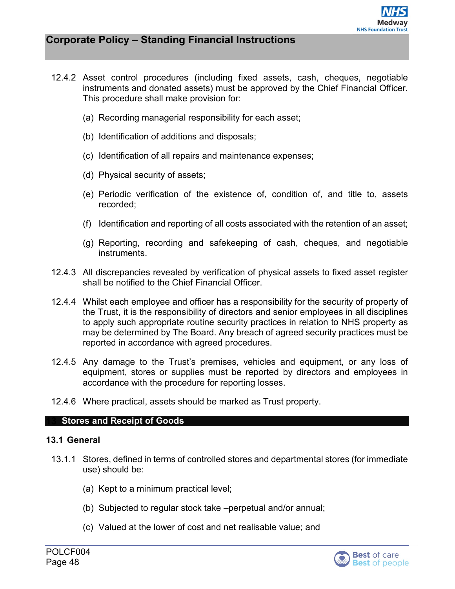- 12.4.2 Asset control procedures (including fixed assets, cash, cheques, negotiable instruments and donated assets) must be approved by the Chief Financial Officer. This procedure shall make provision for:
	- (a) Recording managerial responsibility for each asset;
	- (b) Identification of additions and disposals;
	- (c) Identification of all repairs and maintenance expenses;
	- (d) Physical security of assets;
	- (e) Periodic verification of the existence of, condition of, and title to, assets recorded;
	- (f) Identification and reporting of all costs associated with the retention of an asset;
	- (g) Reporting, recording and safekeeping of cash, cheques, and negotiable instruments.
- 12.4.3 All discrepancies revealed by verification of physical assets to fixed asset register shall be notified to the Chief Financial Officer.
- 12.4.4 Whilst each employee and officer has a responsibility for the security of property of the Trust, it is the responsibility of directors and senior employees in all disciplines to apply such appropriate routine security practices in relation to NHS property as may be determined by The Board. Any breach of agreed security practices must be reported in accordance with agreed procedures.
- 12.4.5 Any damage to the Trust's premises, vehicles and equipment, or any loss of equipment, stores or supplies must be reported by directors and employees in accordance with the procedure for reporting losses.
- 12.4.6 Where practical, assets should be marked as Trust property.

#### <span id="page-47-0"></span>**Stores and Receipt of Goods**

#### **13.1 General**

- 13.1.1 Stores, defined in terms of controlled stores and departmental stores (for immediate use) should be:
	- (a) Kept to a minimum practical level;
	- (b) Subjected to regular stock take –perpetual and/or annual;
	- (c) Valued at the lower of cost and net realisable value; and

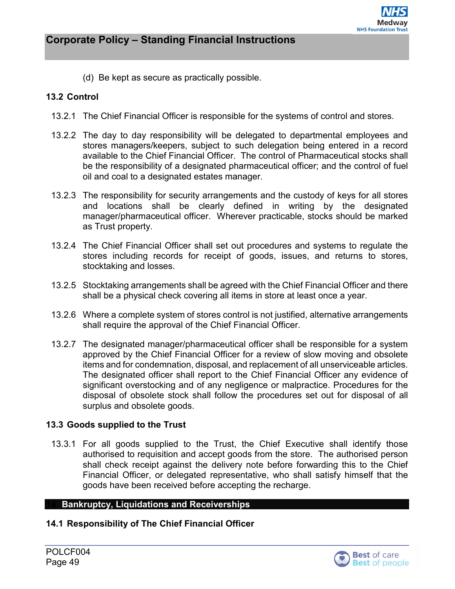(d) Be kept as secure as practically possible.

### **13.2 Control**

- 13.2.1 The Chief Financial Officer is responsible for the systems of control and stores.
- 13.2.2 The day to day responsibility will be delegated to departmental employees and stores managers/keepers, subject to such delegation being entered in a record available to the Chief Financial Officer. The control of Pharmaceutical stocks shall be the responsibility of a designated pharmaceutical officer; and the control of fuel oil and coal to a designated estates manager.
- 13.2.3 The responsibility for security arrangements and the custody of keys for all stores and locations shall be clearly defined in writing by the designated manager/pharmaceutical officer. Wherever practicable, stocks should be marked as Trust property.
- 13.2.4 The Chief Financial Officer shall set out procedures and systems to regulate the stores including records for receipt of goods, issues, and returns to stores, stocktaking and losses.
- 13.2.5 Stocktaking arrangements shall be agreed with the Chief Financial Officer and there shall be a physical check covering all items in store at least once a year.
- 13.2.6 Where a complete system of stores control is not justified, alternative arrangements shall require the approval of the Chief Financial Officer.
- 13.2.7 The designated manager/pharmaceutical officer shall be responsible for a system approved by the Chief Financial Officer for a review of slow moving and obsolete items and for condemnation, disposal, and replacement of all unserviceable articles. The designated officer shall report to the Chief Financial Officer any evidence of significant overstocking and of any negligence or malpractice. Procedures for the disposal of obsolete stock shall follow the procedures set out for disposal of all surplus and obsolete goods.

### **13.3 Goods supplied to the Trust**

13.3.1 For all goods supplied to the Trust, the Chief Executive shall identify those authorised to requisition and accept goods from the store. The authorised person shall check receipt against the delivery note before forwarding this to the Chief Financial Officer, or delegated representative, who shall satisfy himself that the goods have been received before accepting the recharge.

### <span id="page-48-0"></span>**Bankruptcy, Liquidations and Receiverships**

### **14.1 Responsibility of The Chief Financial Officer**



**NHS Foundation Trust**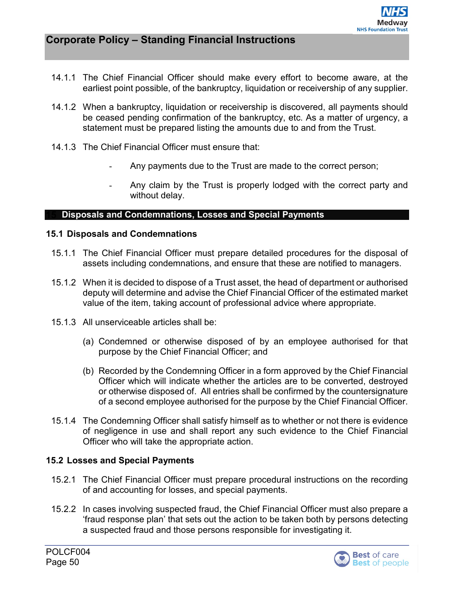- 14.1.1 The Chief Financial Officer should make every effort to become aware, at the earliest point possible, of the bankruptcy, liquidation or receivership of any supplier.
- 14.1.2 When a bankruptcy, liquidation or receivership is discovered, all payments should be ceased pending confirmation of the bankruptcy, etc. As a matter of urgency, a statement must be prepared listing the amounts due to and from the Trust.
- 14.1.3 The Chief Financial Officer must ensure that:
	- Any payments due to the Trust are made to the correct person;
	- Any claim by the Trust is properly lodged with the correct party and without delay.

### <span id="page-49-0"></span>**Disposals and Condemnations, Losses and Special Payments**

### **15.1 Disposals and Condemnations**

- 15.1.1 The Chief Financial Officer must prepare detailed procedures for the disposal of assets including condemnations, and ensure that these are notified to managers.
- 15.1.2 When it is decided to dispose of a Trust asset, the head of department or authorised deputy will determine and advise the Chief Financial Officer of the estimated market value of the item, taking account of professional advice where appropriate.
- 15.1.3 All unserviceable articles shall be:
	- (a) Condemned or otherwise disposed of by an employee authorised for that purpose by the Chief Financial Officer; and
	- (b) Recorded by the Condemning Officer in a form approved by the Chief Financial Officer which will indicate whether the articles are to be converted, destroyed or otherwise disposed of. All entries shall be confirmed by the countersignature of a second employee authorised for the purpose by the Chief Financial Officer.
- 15.1.4 The Condemning Officer shall satisfy himself as to whether or not there is evidence of negligence in use and shall report any such evidence to the Chief Financial Officer who will take the appropriate action.

### **15.2 Losses and Special Payments**

- 15.2.1 The Chief Financial Officer must prepare procedural instructions on the recording of and accounting for losses, and special payments.
- 15.2.2 In cases involving suspected fraud, the Chief Financial Officer must also prepare a 'fraud response plan' that sets out the action to be taken both by persons detecting a suspected fraud and those persons responsible for investigating it.

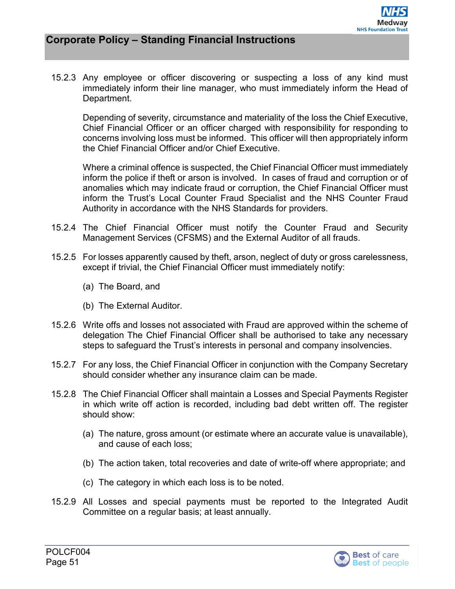15.2.3 Any employee or officer discovering or suspecting a loss of any kind must immediately inform their line manager, who must immediately inform the Head of Department.

Depending of severity, circumstance and materiality of the loss the Chief Executive, Chief Financial Officer or an officer charged with responsibility for responding to concerns involving loss must be informed. This officer will then appropriately inform the Chief Financial Officer and/or Chief Executive.

Where a criminal offence is suspected, the Chief Financial Officer must immediately inform the police if theft or arson is involved. In cases of fraud and corruption or of anomalies which may indicate fraud or corruption, the Chief Financial Officer must inform the Trust's Local Counter Fraud Specialist and the NHS Counter Fraud Authority in accordance with the NHS Standards for providers.

- 15.2.4 The Chief Financial Officer must notify the Counter Fraud and Security Management Services (CFSMS) and the External Auditor of all frauds.
- 15.2.5 For losses apparently caused by theft, arson, neglect of duty or gross carelessness, except if trivial, the Chief Financial Officer must immediately notify:
	- (a) The Board, and
	- (b) The External Auditor.
- 15.2.6 Write offs and losses not associated with Fraud are approved within the scheme of delegation The Chief Financial Officer shall be authorised to take any necessary steps to safeguard the Trust's interests in personal and company insolvencies.
- 15.2.7 For any loss, the Chief Financial Officer in conjunction with the Company Secretary should consider whether any insurance claim can be made.
- 15.2.8 The Chief Financial Officer shall maintain a Losses and Special Payments Register in which write off action is recorded, including bad debt written off. The register should show:
	- (a) The nature, gross amount (or estimate where an accurate value is unavailable), and cause of each loss;
	- (b) The action taken, total recoveries and date of write-off where appropriate; and
	- (c) The category in which each loss is to be noted.
- 15.2.9 All Losses and special payments must be reported to the Integrated Audit Committee on a regular basis; at least annually.

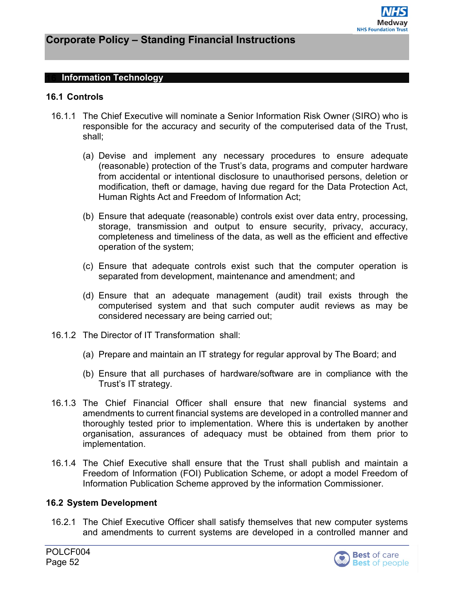#### <span id="page-51-0"></span>**Information Technology**

#### **16.1 Controls**

- 16.1.1 The Chief Executive will nominate a Senior Information Risk Owner (SIRO) who is responsible for the accuracy and security of the computerised data of the Trust, shall;
	- (a) Devise and implement any necessary procedures to ensure adequate (reasonable) protection of the Trust's data, programs and computer hardware from accidental or intentional disclosure to unauthorised persons, deletion or modification, theft or damage, having due regard for the Data Protection Act, Human Rights Act and Freedom of Information Act;
	- (b) Ensure that adequate (reasonable) controls exist over data entry, processing, storage, transmission and output to ensure security, privacy, accuracy, completeness and timeliness of the data, as well as the efficient and effective operation of the system;
	- (c) Ensure that adequate controls exist such that the computer operation is separated from development, maintenance and amendment; and
	- (d) Ensure that an adequate management (audit) trail exists through the computerised system and that such computer audit reviews as may be considered necessary are being carried out;
- 16.1.2 The Director of IT Transformation shall:
	- (a) Prepare and maintain an IT strategy for regular approval by The Board; and
	- (b) Ensure that all purchases of hardware/software are in compliance with the Trust's IT strategy.
- 16.1.3 The Chief Financial Officer shall ensure that new financial systems and amendments to current financial systems are developed in a controlled manner and thoroughly tested prior to implementation. Where this is undertaken by another organisation, assurances of adequacy must be obtained from them prior to implementation.
- 16.1.4 The Chief Executive shall ensure that the Trust shall publish and maintain a Freedom of Information (FOI) Publication Scheme, or adopt a model Freedom of Information Publication Scheme approved by the information Commissioner.

#### **16.2 System Development**

16.2.1 The Chief Executive Officer shall satisfy themselves that new computer systems and amendments to current systems are developed in a controlled manner and

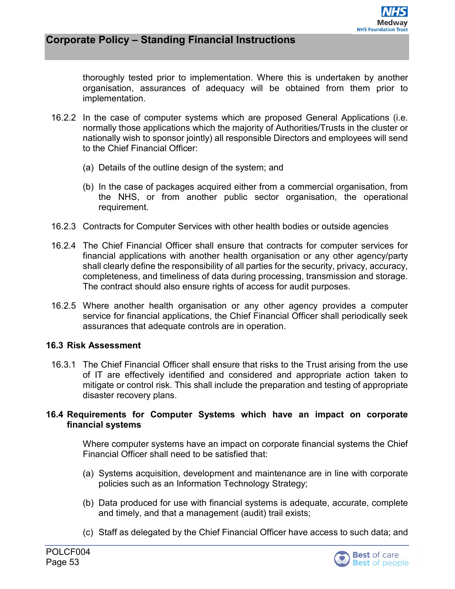thoroughly tested prior to implementation. Where this is undertaken by another organisation, assurances of adequacy will be obtained from them prior to implementation.

- 16.2.2 In the case of computer systems which are proposed General Applications (i.e. normally those applications which the majority of Authorities/Trusts in the cluster or nationally wish to sponsor jointly) all responsible Directors and employees will send to the Chief Financial Officer:
	- (a) Details of the outline design of the system; and
	- (b) In the case of packages acquired either from a commercial organisation, from the NHS, or from another public sector organisation, the operational requirement.
- 16.2.3 Contracts for Computer Services with other health bodies or outside agencies
- 16.2.4 The Chief Financial Officer shall ensure that contracts for computer services for financial applications with another health organisation or any other agency/party shall clearly define the responsibility of all parties for the security, privacy, accuracy, completeness, and timeliness of data during processing, transmission and storage. The contract should also ensure rights of access for audit purposes.
- 16.2.5 Where another health organisation or any other agency provides a computer service for financial applications, the Chief Financial Officer shall periodically seek assurances that adequate controls are in operation.

### **16.3 Risk Assessment**

16.3.1 The Chief Financial Officer shall ensure that risks to the Trust arising from the use of IT are effectively identified and considered and appropriate action taken to mitigate or control risk. This shall include the preparation and testing of appropriate disaster recovery plans.

### **16.4 Requirements for Computer Systems which have an impact on corporate financial systems**

Where computer systems have an impact on corporate financial systems the Chief Financial Officer shall need to be satisfied that:

- (a) Systems acquisition, development and maintenance are in line with corporate policies such as an Information Technology Strategy;
- (b) Data produced for use with financial systems is adequate, accurate, complete and timely, and that a management (audit) trail exists;
- (c) Staff as delegated by the Chief Financial Officer have access to such data; and

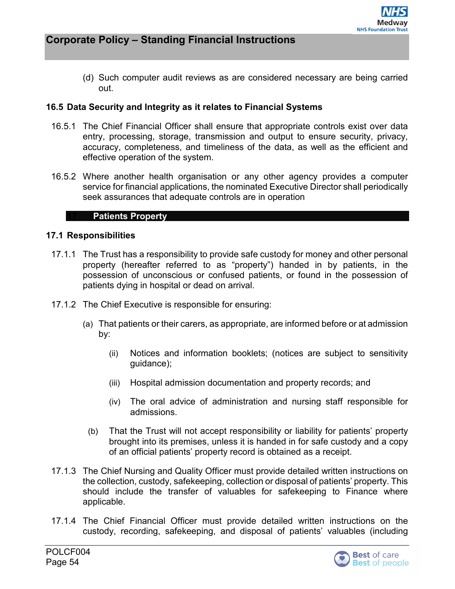

(d) Such computer audit reviews as are considered necessary are being carried out.

### **16.5 Data Security and Integrity as it relates to Financial Systems**

- 16.5.1 The Chief Financial Officer shall ensure that appropriate controls exist over data entry, processing, storage, transmission and output to ensure security, privacy, accuracy, completeness, and timeliness of the data, as well as the efficient and effective operation of the system.
- 16.5.2 Where another health organisation or any other agency provides a computer service for financial applications, the nominated Executive Director shall periodically seek assurances that adequate controls are in operation

### **Patients Property**

### <span id="page-53-0"></span>**17.1 Responsibilities**

- 17.1.1 The Trust has a responsibility to provide safe custody for money and other personal property (hereafter referred to as "property") handed in by patients, in the possession of unconscious or confused patients, or found in the possession of patients dying in hospital or dead on arrival.
- 17.1.2 The Chief Executive is responsible for ensuring:
	- (a) That patients or their carers, as appropriate, are informed before or at admission by:
		- (ii) Notices and information booklets; (notices are subject to sensitivity guidance);
		- (iii) Hospital admission documentation and property records; and
		- (iv) The oral advice of administration and nursing staff responsible for admissions.
		- (b) That the Trust will not accept responsibility or liability for patients' property brought into its premises, unless it is handed in for safe custody and a copy of an official patients' property record is obtained as a receipt.
- 17.1.3 The Chief Nursing and Quality Officer must provide detailed written instructions on the collection, custody, safekeeping, collection or disposal of patients' property. This should include the transfer of valuables for safekeeping to Finance where applicable.
- 17.1.4 The Chief Financial Officer must provide detailed written instructions on the custody, recording, safekeeping, and disposal of patients' valuables (including

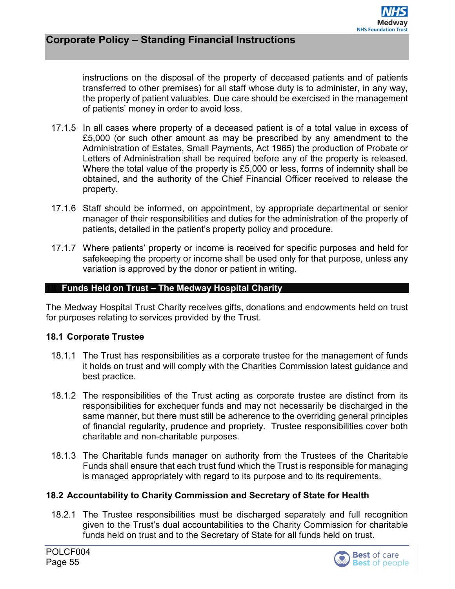instructions on the disposal of the property of deceased patients and of patients transferred to other premises) for all staff whose duty is to administer, in any way, the property of patient valuables. Due care should be exercised in the management of patients' money in order to avoid loss.

- 17.1.5 In all cases where property of a deceased patient is of a total value in excess of £5,000 (or such other amount as may be prescribed by any amendment to the Administration of Estates, Small Payments, Act 1965) the production of Probate or Letters of Administration shall be required before any of the property is released. Where the total value of the property is £5,000 or less, forms of indemnity shall be obtained, and the authority of the Chief Financial Officer received to release the property.
- 17.1.6 Staff should be informed, on appointment, by appropriate departmental or senior manager of their responsibilities and duties for the administration of the property of patients, detailed in the patient's property policy and procedure.
- 17.1.7 Where patients' property or income is received for specific purposes and held for safekeeping the property or income shall be used only for that purpose, unless any variation is approved by the donor or patient in writing.

### <span id="page-54-0"></span>**Funds Held on Trust – The Medway Hospital Charity**

The Medway Hospital Trust Charity receives gifts, donations and endowments held on trust for purposes relating to services provided by the Trust.

### **18.1 Corporate Trustee**

- 18.1.1 The Trust has responsibilities as a corporate trustee for the management of funds it holds on trust and will comply with the Charities Commission latest guidance and best practice.
- 18.1.2 The responsibilities of the Trust acting as corporate trustee are distinct from its responsibilities for exchequer funds and may not necessarily be discharged in the same manner, but there must still be adherence to the overriding general principles of financial regularity, prudence and propriety. Trustee responsibilities cover both charitable and non-charitable purposes.
- 18.1.3 The Charitable funds manager on authority from the Trustees of the Charitable Funds shall ensure that each trust fund which the Trust is responsible for managing is managed appropriately with regard to its purpose and to its requirements.

### **18.2 Accountability to Charity Commission and Secretary of State for Health**

18.2.1 The Trustee responsibilities must be discharged separately and full recognition given to the Trust's dual accountabilities to the Charity Commission for charitable funds held on trust and to the Secretary of State for all funds held on trust.

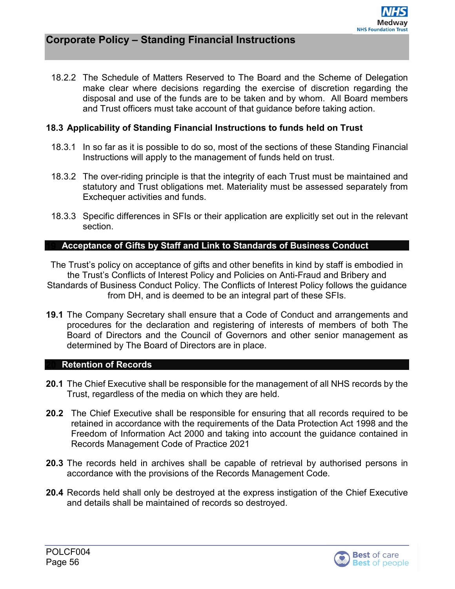18.2.2 The Schedule of Matters Reserved to The Board and the Scheme of Delegation make clear where decisions regarding the exercise of discretion regarding the disposal and use of the funds are to be taken and by whom. All Board members and Trust officers must take account of that guidance before taking action.

### **18.3 Applicability of Standing Financial Instructions to funds held on Trust**

- 18.3.1 In so far as it is possible to do so, most of the sections of these Standing Financial Instructions will apply to the management of funds held on trust.
- 18.3.2 The over-riding principle is that the integrity of each Trust must be maintained and statutory and Trust obligations met. Materiality must be assessed separately from Exchequer activities and funds.
- 18.3.3 Specific differences in SFIs or their application are explicitly set out in the relevant section.

### <span id="page-55-0"></span>**Acceptance of Gifts by Staff and Link to Standards of Business Conduct**

The Trust's policy on acceptance of gifts and other benefits in kind by staff is embodied in the Trust's Conflicts of Interest Policy and Policies on Anti-Fraud and Bribery and Standards of Business Conduct Policy. The Conflicts of Interest Policy follows the guidance from DH, and is deemed to be an integral part of these SFIs.

**19.1** The Company Secretary shall ensure that a Code of Conduct and arrangements and procedures for the declaration and registering of interests of members of both The Board of Directors and the Council of Governors and other senior management as determined by The Board of Directors are in place.

### <span id="page-55-1"></span>**Retention of Records**

- **20.1** The Chief Executive shall be responsible for the management of all NHS records by the Trust, regardless of the media on which they are held.
- **20.2** The Chief Executive shall be responsible for ensuring that all records required to be retained in accordance with the requirements of the Data Protection Act 1998 and the Freedom of Information Act 2000 and taking into account the guidance contained in Records Management Code of Practice 2021
- **20.3** The records held in archives shall be capable of retrieval by authorised persons in accordance with the provisions of the Records Management Code.
- **20.4** Records held shall only be destroyed at the express instigation of the Chief Executive and details shall be maintained of records so destroyed.

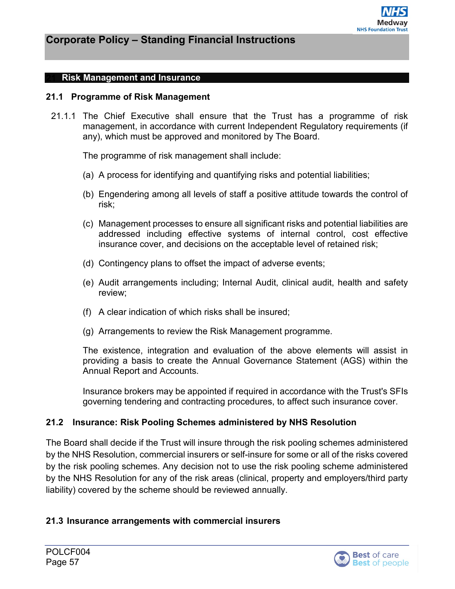#### <span id="page-56-0"></span>**Risk Management and Insurance**

#### **21.1 Programme of Risk Management**

21.1.1 The Chief Executive shall ensure that the Trust has a programme of risk management, in accordance with current Independent Regulatory requirements (if any), which must be approved and monitored by The Board.

The programme of risk management shall include:

- (a) A process for identifying and quantifying risks and potential liabilities;
- (b) Engendering among all levels of staff a positive attitude towards the control of risk;
- (c) Management processes to ensure all significant risks and potential liabilities are addressed including effective systems of internal control, cost effective insurance cover, and decisions on the acceptable level of retained risk;
- (d) Contingency plans to offset the impact of adverse events;
- (e) Audit arrangements including; Internal Audit, clinical audit, health and safety review;
- (f) A clear indication of which risks shall be insured;
- (g) Arrangements to review the Risk Management programme.

The existence, integration and evaluation of the above elements will assist in providing a basis to create the Annual Governance Statement (AGS) within the Annual Report and Accounts.

Insurance brokers may be appointed if required in accordance with the Trust's SFIs governing tendering and contracting procedures, to affect such insurance cover.

### **21.2 Insurance: Risk Pooling Schemes administered by NHS Resolution**

The Board shall decide if the Trust will insure through the risk pooling schemes administered by the NHS Resolution, commercial insurers or self-insure for some or all of the risks covered by the risk pooling schemes. Any decision not to use the risk pooling scheme administered by the NHS Resolution for any of the risk areas (clinical, property and employers/third party liability) covered by the scheme should be reviewed annually.

### **21.3 Insurance arrangements with commercial insurers**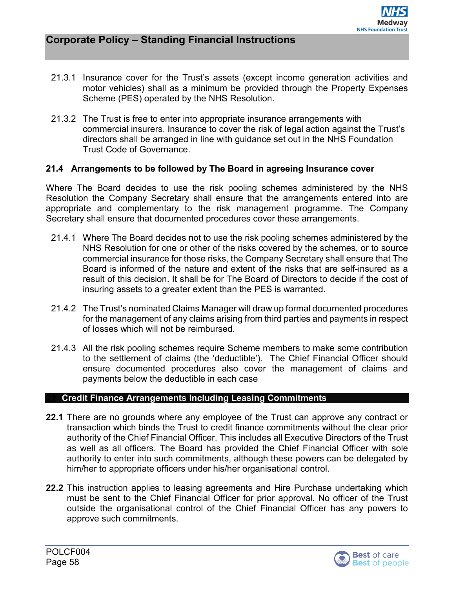- 21.3.1 Insurance cover for the Trust's assets (except income generation activities and motor vehicles) shall as a minimum be provided through the Property Expenses Scheme (PES) operated by the NHS Resolution.
- 21.3.2 The Trust is free to enter into appropriate insurance arrangements with commercial insurers. Insurance to cover the risk of legal action against the Trust's directors shall be arranged in line with guidance set out in the NHS Foundation Trust Code of Governance.

### **21.4 Arrangements to be followed by The Board in agreeing Insurance cover**

Where The Board decides to use the risk pooling schemes administered by the NHS Resolution the Company Secretary shall ensure that the arrangements entered into are appropriate and complementary to the risk management programme. The Company Secretary shall ensure that documented procedures cover these arrangements.

- 21.4.1 Where The Board decides not to use the risk pooling schemes administered by the NHS Resolution for one or other of the risks covered by the schemes, or to source commercial insurance for those risks, the Company Secretary shall ensure that The Board is informed of the nature and extent of the risks that are self-insured as a result of this decision. It shall be for The Board of Directors to decide if the cost of insuring assets to a greater extent than the PES is warranted.
- 21.4.2 The Trust's nominated Claims Manager will draw up formal documented procedures for the management of any claims arising from third parties and payments in respect of losses which will not be reimbursed.
- 21.4.3 All the risk pooling schemes require Scheme members to make some contribution to the settlement of claims (the 'deductible'). The Chief Financial Officer should ensure documented procedures also cover the management of claims and payments below the deductible in each case

### <span id="page-57-0"></span>**Credit Finance Arrangements Including Leasing Commitments**

- **22.1** There are no grounds where any employee of the Trust can approve any contract or transaction which binds the Trust to credit finance commitments without the clear prior authority of the Chief Financial Officer. This includes all Executive Directors of the Trust as well as all officers. The Board has provided the Chief Financial Officer with sole authority to enter into such commitments, although these powers can be delegated by him/her to appropriate officers under his/her organisational control.
- **22.2** This instruction applies to leasing agreements and Hire Purchase undertaking which must be sent to the Chief Financial Officer for prior approval. No officer of the Trust outside the organisational control of the Chief Financial Officer has any powers to approve such commitments.

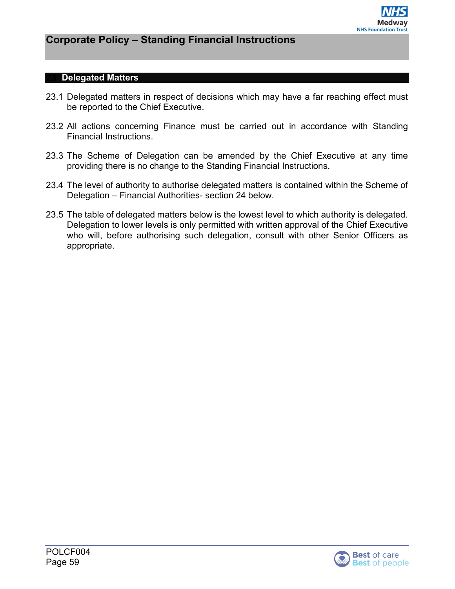#### <span id="page-58-0"></span>**Delegated Matters**

- 23.1 Delegated matters in respect of decisions which may have a far reaching effect must be reported to the Chief Executive.
- 23.2 All actions concerning Finance must be carried out in accordance with Standing Financial Instructions.
- 23.3 The Scheme of Delegation can be amended by the Chief Executive at any time providing there is no change to the Standing Financial Instructions.
- 23.4 The level of authority to authorise delegated matters is contained within the Scheme of Delegation – Financial Authorities- section 24 below.
- 23.5 The table of delegated matters below is the lowest level to which authority is delegated. Delegation to lower levels is only permitted with written approval of the Chief Executive who will, before authorising such delegation, consult with other Senior Officers as appropriate.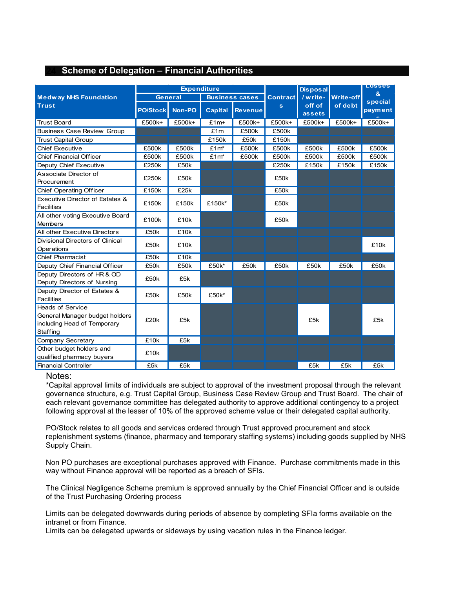### <span id="page-59-0"></span>**Scheme of Delegation – Financial Authorities**

|                                                                                                      | <b>Expenditure</b> |        |                       |                |                 | <b>Disposal</b>  |                  | <b>LOSSES</b> |
|------------------------------------------------------------------------------------------------------|--------------------|--------|-----------------------|----------------|-----------------|------------------|------------------|---------------|
| <b>Medway NHS Foundation</b>                                                                         | <b>General</b>     |        | <b>Business cases</b> |                | <b>Contract</b> | /write-          | <b>Write-off</b> | &<br>special  |
| <b>Trust</b>                                                                                         | <b>PO/Stock</b>    | Non-PO | <b>Capital</b>        | <b>Revenue</b> | $\mathbf{s}$    | off of           | of debt          | payment       |
| <b>Trust Board</b>                                                                                   | £500k+             | £500k+ | $£1m+$                | £500k+         | £500k+          | assets<br>£500k+ | £500k+           | £500k+        |
| <b>Business Case Review Group</b>                                                                    |                    |        | £1m                   | £500k          | £500k           |                  |                  |               |
| <b>Trust Capital Group</b>                                                                           |                    |        | £150k                 | £50k           | £150k           |                  |                  |               |
| <b>Chief Executive</b>                                                                               | £500k              | £500k  | $£1m*$                | £500k          | £500k           | £500k            | £500k            | £500k         |
| <b>Chief Financial Officer</b>                                                                       | £500k              | £500k  | £1m*                  | £500k          | £500k           | £500k            | £500k            | £500k         |
| Deputy Chief Executive                                                                               | £250k              | £50k   |                       |                | £250k           | £150k            | £150k            | £150k         |
| Associate Director of                                                                                | £250k              | £50k   |                       |                | £50k            |                  |                  |               |
| Procurement                                                                                          |                    |        |                       |                |                 |                  |                  |               |
| <b>Chief Operating Officer</b>                                                                       | £150k              | £25k   |                       |                | £50k            |                  |                  |               |
| Executive Director of Estates &<br>Facilities                                                        | £150k              | £150k  | £150k*                |                | £50k            |                  |                  |               |
| All other voting Executive Board<br>Members                                                          | £100k              | £10k   |                       |                | £50k            |                  |                  |               |
| All other Executive Directors                                                                        | £50k               | £10k   |                       |                |                 |                  |                  |               |
| Divisional Directors of Clinical<br>Operations                                                       | £50k               | £10k   |                       |                |                 |                  |                  | £10k          |
| <b>Chief Pharmacist</b>                                                                              | £50k               | £10k   |                       |                |                 |                  |                  |               |
| Deputy Chief Financial Officer                                                                       | £50k               | £50k   | £50k*                 | £50k           | £50k            | £50k             | £50k             | £50k          |
| Deputy Directors of HR & OD<br>Deputy Directors of Nursing                                           | £50k               | £5k    |                       |                |                 |                  |                  |               |
| Deputy Director of Estates &<br>Facilities                                                           | £50k               | £50k   | £50k*                 |                |                 |                  |                  |               |
| <b>Heads of Service</b><br>General Manager budget holders<br>including Head of Temporary<br>Staffing | £20k               | £5k    |                       |                |                 | £5k              |                  | £5k           |
| Company Secretary                                                                                    | £10k               | £5k    |                       |                |                 |                  |                  |               |
| Other budget holders and<br>qualified pharmacy buyers                                                | £10k               |        |                       |                |                 |                  |                  |               |
| <b>Financial Controller</b>                                                                          | £5k                | £5k    |                       |                |                 | £5k              | £5k              | £5k           |

#### Notes:

\*Capital approval limits of individuals are subject to approval of the investment proposal through the relevant governance structure, e.g. Trust Capital Group, Business Case Review Group and Trust Board. The chair of each relevant governance committee has delegated authority to approve additional contingency to a project following approval at the lesser of 10% of the approved scheme value or their delegated capital authority.

PO/Stock relates to all goods and services ordered through Trust approved procurement and stock replenishment systems (finance, pharmacy and temporary staffing systems) including goods supplied by NHS Supply Chain.

Non PO purchases are exceptional purchases approved with Finance. Purchase commitments made in this way without Finance approval will be reported as a breach of SFIs.

The Clinical Negligence Scheme premium is approved annually by the Chief Financial Officer and is outside of the Trust Purchasing Ordering process

Limits can be delegated downwards during periods of absence by completing SFIa forms available on the intranet or from Finance.

Limits can be delegated upwards or sideways by using vacation rules in the Finance ledger.